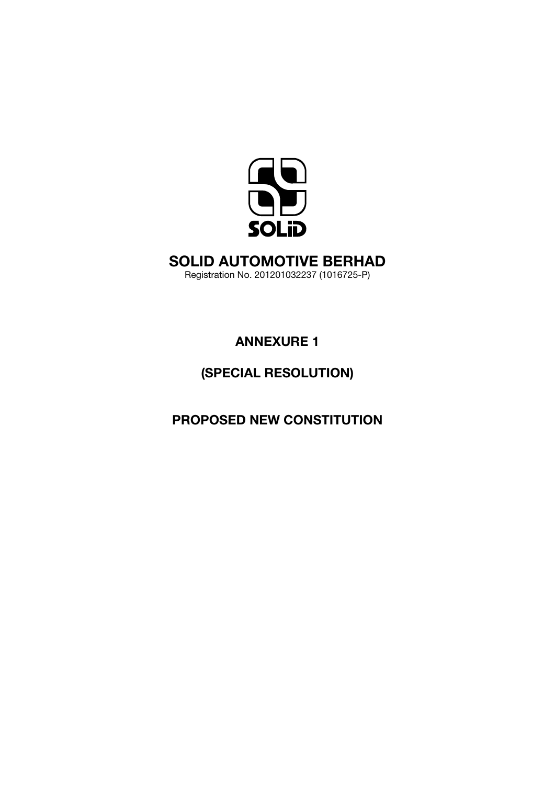

# SOLID AUTOMOTIVE BERHAD

Registration No. 201201032237 (1016725-P)

ANNEXURE 1

# (SPECIAL RESOLUTION)

PROPOSED new constitution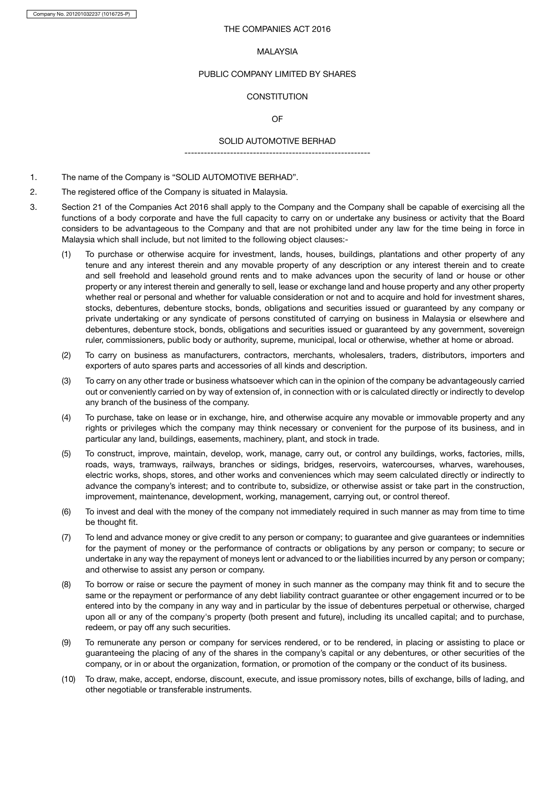Company No. 201201032237 (1016725-P)

# THE COMPANIES ACT 2016

#### MALAYSIA

#### PUBLIC COMPANY LIMITED BY SHARES

# **CONSTITUTION**

# OF

# SOLID AUTOMOTIVE BERHAD ---------------------------------------------------------

- 1. The name of the Company is "SOLID AUTOMOTIVE BERHAD".
- 2. The registered office of the Company is situated in Malaysia.
- 3. Section 21 of the Companies Act 2016 shall apply to the Company and the Company shall be capable of exercising all the functions of a body corporate and have the full capacity to carry on or undertake any business or activity that the Board considers to be advantageous to the Company and that are not prohibited under any law for the time being in force in Malaysia which shall include, but not limited to the following object clauses:-
	- (1) To purchase or otherwise acquire for investment, lands, houses, buildings, plantations and other property of any tenure and any interest therein and any movable property of any description or any interest therein and to create and sell freehold and leasehold ground rents and to make advances upon the security of land or house or other property or any interest therein and generally to sell, lease or exchange land and house property and any other property whether real or personal and whether for valuable consideration or not and to acquire and hold for investment shares, stocks, debentures, debenture stocks, bonds, obligations and securities issued or guaranteed by any company or private undertaking or any syndicate of persons constituted of carrying on business in Malaysia or elsewhere and debentures, debenture stock, bonds, obligations and securities issued or guaranteed by any government, sovereign ruler, commissioners, public body or authority, supreme, municipal, local or otherwise, whether at home or abroad.
	- (2) To carry on business as manufacturers, contractors, merchants, wholesalers, traders, distributors, importers and exporters of auto spares parts and accessories of all kinds and description.
	- (3) To carry on any other trade or business whatsoever which can in the opinion of the company be advantageously carried out or conveniently carried on by way of extension of, in connection with or is calculated directly or indirectly to develop any branch of the business of the company.
	- (4) To purchase, take on lease or in exchange, hire, and otherwise acquire any movable or immovable property and any rights or privileges which the company may think necessary or convenient for the purpose of its business, and in particular any land, buildings, easements, machinery, plant, and stock in trade.
	- (5) To construct, improve, maintain, develop, work, manage, carry out, or control any buildings, works, factories, mills, roads, ways, tramways, railways, branches or sidings, bridges, reservoirs, watercourses, wharves, warehouses, electric works, shops, stores, and other works and conveniences which may seem calculated directly or indirectly to advance the company's interest; and to contribute to, subsidize, or otherwise assist or take part in the construction, improvement, maintenance, development, working, management, carrying out, or control thereof.
	- (6) To invest and deal with the money of the company not immediately required in such manner as may from time to time be thought fit.
	- (7) To lend and advance money or give credit to any person or company; to guarantee and give guarantees or indemnities for the payment of money or the performance of contracts or obligations by any person or company; to secure or undertake in any way the repayment of moneys lent or advanced to or the liabilities incurred by any person or company; and otherwise to assist any person or company.
	- (8) To borrow or raise or secure the payment of money in such manner as the company may think fit and to secure the same or the repayment or performance of any debt liability contract guarantee or other engagement incurred or to be entered into by the company in any way and in particular by the issue of debentures perpetual or otherwise, charged upon all or any of the company's property (both present and future), including its uncalled capital; and to purchase, redeem, or pay off any such securities.
	- (9) To remunerate any person or company for services rendered, or to be rendered, in placing or assisting to place or guaranteeing the placing of any of the shares in the company's capital or any debentures, or other securities of the company, or in or about the organization, formation, or promotion of the company or the conduct of its business.
	- (10) To draw, make, accept, endorse, discount, execute, and issue promissory notes, bills of exchange, bills of lading, and other negotiable or transferable instruments.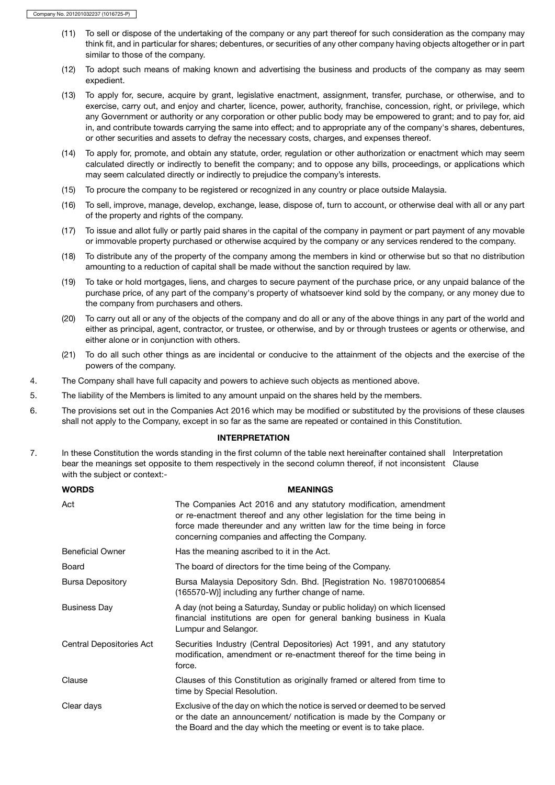- (11) To sell or dispose of the undertaking of the company or any part thereof for such consideration as the company may think fit, and in particular for shares; debentures, or securities of any other company having objects altogether or in part similar to those of the company.
- (12) To adopt such means of making known and advertising the business and products of the company as may seem expedient.
- (13) To apply for, secure, acquire by grant, legislative enactment, assignment, transfer, purchase, or otherwise, and to exercise, carry out, and enjoy and charter, licence, power, authority, franchise, concession, right, or privilege, which any Government or authority or any corporation or other public body may be empowered to grant; and to pay for, aid in, and contribute towards carrying the same into effect; and to appropriate any of the company's shares, debentures, or other securities and assets to defray the necessary costs, charges, and expenses thereof.
- (14) To apply for, promote, and obtain any statute, order, regulation or other authorization or enactment which may seem calculated directly or indirectly to benefit the company; and to oppose any bills, proceedings, or applications which may seem calculated directly or indirectly to prejudice the company's interests.
- (15) To procure the company to be registered or recognized in any country or place outside Malaysia.
- (16) To sell, improve, manage, develop, exchange, lease, dispose of, turn to account, or otherwise deal with all or any part of the property and rights of the company.
- (17) To issue and allot fully or partly paid shares in the capital of the company in payment or part payment of any movable or immovable property purchased or otherwise acquired by the company or any services rendered to the company.
- (18) To distribute any of the property of the company among the members in kind or otherwise but so that no distribution amounting to a reduction of capital shall be made without the sanction required by law.
- (19) To take or hold mortgages, liens, and charges to secure payment of the purchase price, or any unpaid balance of the purchase price, of any part of the company's property of whatsoever kind sold by the company, or any money due to the company from purchasers and others.
- (20) To carry out all or any of the objects of the company and do all or any of the above things in any part of the world and either as principal, agent, contractor, or trustee, or otherwise, and by or through trustees or agents or otherwise, and either alone or in conjunction with others.
- (21) To do all such other things as are incidental or conducive to the attainment of the objects and the exercise of the powers of the company.
- 4. The Company shall have full capacity and powers to achieve such objects as mentioned above.
- 5. The liability of the Members is limited to any amount unpaid on the shares held by the members.
- 6. The provisions set out in the Companies Act 2016 which may be modified or substituted by the provisions of these clauses shall not apply to the Company, except in so far as the same are repeated or contained in this Constitution.

#### INTERPRETATION

7. In these Constitution the words standing in the first column of the table next hereinafter contained shall Interpretation bear the meanings set opposite to them respectively in the second column thereof, if not inconsistent Clause with the subject or context:-

| <b>WORDS</b>             | <b>MEANINGS</b>                                                                                                                                                                                                                                                         |
|--------------------------|-------------------------------------------------------------------------------------------------------------------------------------------------------------------------------------------------------------------------------------------------------------------------|
| Act                      | The Companies Act 2016 and any statutory modification, amendment<br>or re-enactment thereof and any other legislation for the time being in<br>force made thereunder and any written law for the time being in force<br>concerning companies and affecting the Company. |
| <b>Beneficial Owner</b>  | Has the meaning ascribed to it in the Act.                                                                                                                                                                                                                              |
| Board                    | The board of directors for the time being of the Company.                                                                                                                                                                                                               |
| <b>Bursa Depository</b>  | Bursa Malaysia Depository Sdn. Bhd. [Registration No. 198701006854<br>(165570-W)] including any further change of name.                                                                                                                                                 |
| <b>Business Day</b>      | A day (not being a Saturday, Sunday or public holiday) on which licensed<br>financial institutions are open for general banking business in Kuala<br>Lumpur and Selangor.                                                                                               |
| Central Depositories Act | Securities Industry (Central Depositories) Act 1991, and any statutory<br>modification, amendment or re-enactment thereof for the time being in<br>force.                                                                                                               |
| Clause                   | Clauses of this Constitution as originally framed or altered from time to<br>time by Special Resolution.                                                                                                                                                                |
| Clear days               | Exclusive of the day on which the notice is served or deemed to be served<br>or the date an announcement/ notification is made by the Company or<br>the Board and the day which the meeting or event is to take place.                                                  |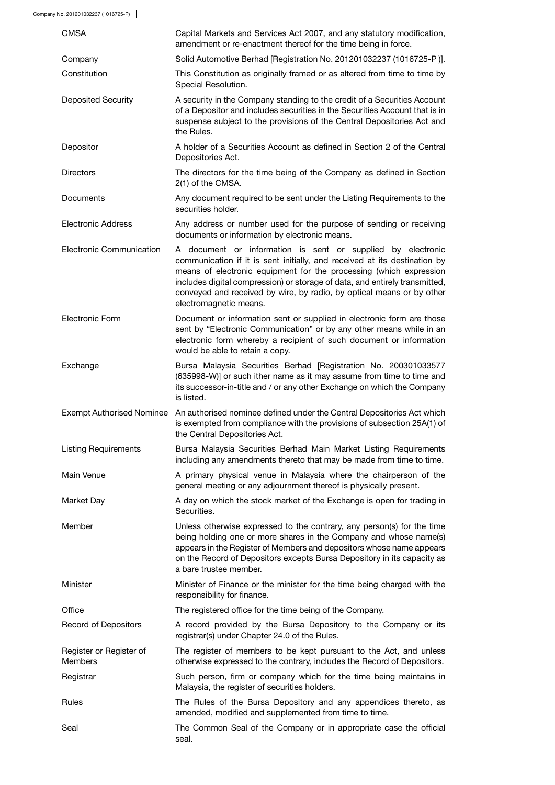Company No. 201201032237 (1016725-P)

| <b>CMSA</b>                               | Capital Markets and Services Act 2007, and any statutory modification,<br>amendment or re-enactment thereof for the time being in force.                                                                                                                                                                                                                                                         |
|-------------------------------------------|--------------------------------------------------------------------------------------------------------------------------------------------------------------------------------------------------------------------------------------------------------------------------------------------------------------------------------------------------------------------------------------------------|
| Company                                   | Solid Automotive Berhad [Registration No. 201201032237 (1016725-P)].                                                                                                                                                                                                                                                                                                                             |
| Constitution                              | This Constitution as originally framed or as altered from time to time by<br>Special Resolution.                                                                                                                                                                                                                                                                                                 |
| <b>Deposited Security</b>                 | A security in the Company standing to the credit of a Securities Account<br>of a Depositor and includes securities in the Securities Account that is in<br>suspense subject to the provisions of the Central Depositories Act and<br>the Rules.                                                                                                                                                  |
| Depositor                                 | A holder of a Securities Account as defined in Section 2 of the Central<br>Depositories Act.                                                                                                                                                                                                                                                                                                     |
| <b>Directors</b>                          | The directors for the time being of the Company as defined in Section<br>2(1) of the CMSA.                                                                                                                                                                                                                                                                                                       |
| Documents                                 | Any document required to be sent under the Listing Requirements to the<br>securities holder.                                                                                                                                                                                                                                                                                                     |
| <b>Electronic Address</b>                 | Any address or number used for the purpose of sending or receiving<br>documents or information by electronic means.                                                                                                                                                                                                                                                                              |
| Electronic Communication                  | A document or information is sent or supplied by electronic<br>communication if it is sent initially, and received at its destination by<br>means of electronic equipment for the processing (which expression<br>includes digital compression) or storage of data, and entirely transmitted,<br>conveyed and received by wire, by radio, by optical means or by other<br>electromagnetic means. |
| Electronic Form                           | Document or information sent or supplied in electronic form are those<br>sent by "Electronic Communication" or by any other means while in an<br>electronic form whereby a recipient of such document or information<br>would be able to retain a copy.                                                                                                                                          |
| Exchange                                  | Bursa Malaysia Securities Berhad [Registration No. 200301033577<br>(635998-W)] or such ither name as it may assume from time to time and<br>its successor-in-title and / or any other Exchange on which the Company<br>is listed.                                                                                                                                                                |
| <b>Exempt Authorised Nominee</b>          | An authorised nominee defined under the Central Depositories Act which<br>is exempted from compliance with the provisions of subsection 25A(1) of<br>the Central Depositories Act.                                                                                                                                                                                                               |
| <b>Listing Requirements</b>               | Bursa Malaysia Securities Berhad Main Market Listing Requirements<br>including any amendments thereto that may be made from time to time.                                                                                                                                                                                                                                                        |
| Main Venue                                | A primary physical venue in Malaysia where the chairperson of the<br>general meeting or any adjournment thereof is physically present.                                                                                                                                                                                                                                                           |
| Market Day                                | A day on which the stock market of the Exchange is open for trading in<br>Securities.                                                                                                                                                                                                                                                                                                            |
| Member                                    | Unless otherwise expressed to the contrary, any person(s) for the time<br>being holding one or more shares in the Company and whose name(s)<br>appears in the Register of Members and depositors whose name appears<br>on the Record of Depositors excepts Bursa Depository in its capacity as<br>a bare trustee member.                                                                         |
| Minister                                  | Minister of Finance or the minister for the time being charged with the<br>responsibility for finance.                                                                                                                                                                                                                                                                                           |
| Office                                    | The registered office for the time being of the Company.                                                                                                                                                                                                                                                                                                                                         |
| Record of Depositors                      | A record provided by the Bursa Depository to the Company or its<br>registrar(s) under Chapter 24.0 of the Rules.                                                                                                                                                                                                                                                                                 |
| Register or Register of<br><b>Members</b> | The register of members to be kept pursuant to the Act, and unless<br>otherwise expressed to the contrary, includes the Record of Depositors.                                                                                                                                                                                                                                                    |
| Registrar                                 | Such person, firm or company which for the time being maintains in<br>Malaysia, the register of securities holders.                                                                                                                                                                                                                                                                              |
| Rules                                     | The Rules of the Bursa Depository and any appendices thereto, as<br>amended, modified and supplemented from time to time.                                                                                                                                                                                                                                                                        |
| Seal                                      | The Common Seal of the Company or in appropriate case the official<br>seal.                                                                                                                                                                                                                                                                                                                      |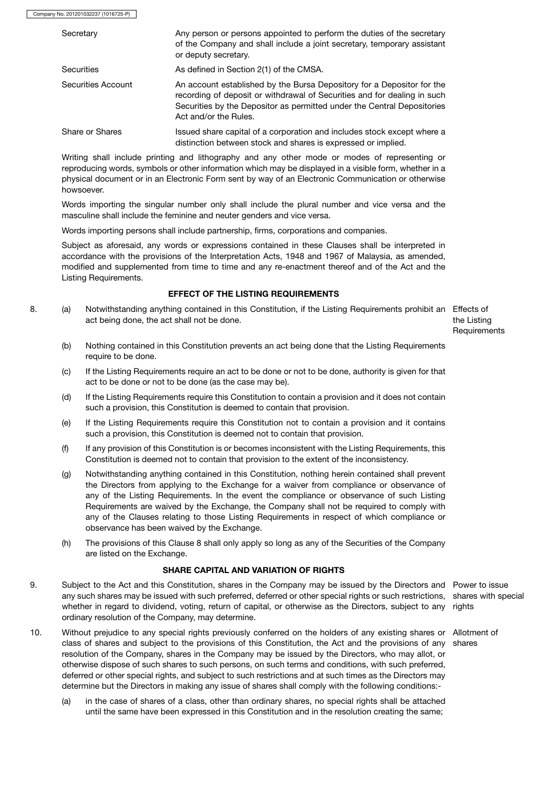| Secretary          | Any person or persons appointed to perform the duties of the secretary<br>of the Company and shall include a joint secretary, temporary assistant<br>or deputy secretary.                                                                              |
|--------------------|--------------------------------------------------------------------------------------------------------------------------------------------------------------------------------------------------------------------------------------------------------|
| <b>Securities</b>  | As defined in Section 2(1) of the CMSA.                                                                                                                                                                                                                |
| Securities Account | An account established by the Bursa Depository for a Depositor for the<br>recording of deposit or withdrawal of Securities and for dealing in such<br>Securities by the Depositor as permitted under the Central Depositories<br>Act and/or the Rules. |
| Share or Shares    | Issued share capital of a corporation and includes stock except where a<br>distinction between stock and shares is expressed or implied.                                                                                                               |

Writing shall include printing and lithography and any other mode or modes of representing or reproducing words, symbols or other information which may be displayed in a visible form, whether in a physical document or in an Electronic Form sent by way of an Electronic Communication or otherwise howsoever.

Words importing the singular number only shall include the plural number and vice versa and the masculine shall include the feminine and neuter genders and vice versa.

Words importing persons shall include partnership, firms, corporations and companies.

Subject as aforesaid, any words or expressions contained in these Clauses shall be interpreted in accordance with the provisions of the Interpretation Acts, 1948 and 1967 of Malaysia, as amended, modified and supplemented from time to time and any re-enactment thereof and of the Act and the Listing Requirements.

# EFFECT OF THE LISTING REQUIREMENTS

8. (a) Notwithstanding anything contained in this Constitution, if the Listing Requirements prohibit an Effects of act being done, the act shall not be done.

the Listing **Requirements** 

- (b) Nothing contained in this Constitution prevents an act being done that the Listing Requirements require to be done.
- (c) If the Listing Requirements require an act to be done or not to be done, authority is given for that act to be done or not to be done (as the case may be).
- (d) If the Listing Requirements require this Constitution to contain a provision and it does not contain such a provision, this Constitution is deemed to contain that provision.
- (e) If the Listing Requirements require this Constitution not to contain a provision and it contains such a provision, this Constitution is deemed not to contain that provision.
- (f) If any provision of this Constitution is or becomes inconsistent with the Listing Requirements, this Constitution is deemed not to contain that provision to the extent of the inconsistency.
- (g) Notwithstanding anything contained in this Constitution, nothing herein contained shall prevent the Directors from applying to the Exchange for a waiver from compliance or observance of any of the Listing Requirements. In the event the compliance or observance of such Listing Requirements are waived by the Exchange, the Company shall not be required to comply with any of the Clauses relating to those Listing Requirements in respect of which compliance or observance has been waived by the Exchange.
- (h) The provisions of this Clause 8 shall only apply so long as any of the Securities of the Company are listed on the Exchange.

#### SHARE CAPITAL AND VARIATION OF RIGHTS

- 9. Subject to the Act and this Constitution, shares in the Company may be issued by the Directors and Power to issue any such shares may be issued with such preferred, deferred or other special rights or such restrictions, shares with special whether in regard to dividend, voting, return of capital, or otherwise as the Directors, subject to any rights ordinary resolution of the Company, may determine.
- 10. Without prejudice to any special rights previously conferred on the holders of any existing shares or Allotment of class of shares and subject to the provisions of this Constitution, the Act and the provisions of any shares resolution of the Company, shares in the Company may be issued by the Directors, who may allot, or otherwise dispose of such shares to such persons, on such terms and conditions, with such preferred, deferred or other special rights, and subject to such restrictions and at such times as the Directors may determine but the Directors in making any issue of shares shall comply with the following conditions:-
	- (a) in the case of shares of a class, other than ordinary shares, no special rights shall be attached until the same have been expressed in this Constitution and in the resolution creating the same;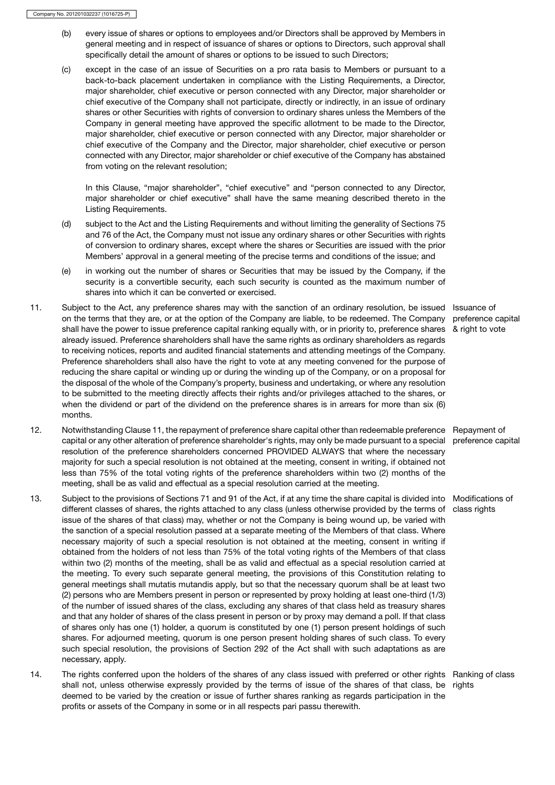- (b) every issue of shares or options to employees and/or Directors shall be approved by Members in general meeting and in respect of issuance of shares or options to Directors, such approval shall specifically detail the amount of shares or options to be issued to such Directors;
- (c) except in the case of an issue of Securities on a pro rata basis to Members or pursuant to a back-to-back placement undertaken in compliance with the Listing Requirements, a Director, major shareholder, chief executive or person connected with any Director, major shareholder or chief executive of the Company shall not participate, directly or indirectly, in an issue of ordinary shares or other Securities with rights of conversion to ordinary shares unless the Members of the Company in general meeting have approved the specific allotment to be made to the Director, major shareholder, chief executive or person connected with any Director, major shareholder or chief executive of the Company and the Director, major shareholder, chief executive or person connected with any Director, major shareholder or chief executive of the Company has abstained from voting on the relevant resolution;

In this Clause, "major shareholder", "chief executive" and "person connected to any Director, major shareholder or chief executive" shall have the same meaning described thereto in the Listing Requirements.

- (d) subject to the Act and the Listing Requirements and without limiting the generality of Sections 75 and 76 of the Act, the Company must not issue any ordinary shares or other Securities with rights of conversion to ordinary shares, except where the shares or Securities are issued with the prior Members' approval in a general meeting of the precise terms and conditions of the issue; and
- (e) in working out the number of shares or Securities that may be issued by the Company, if the security is a convertible security, each such security is counted as the maximum number of shares into which it can be converted or exercised.
- 11. Subject to the Act, any preference shares may with the sanction of an ordinary resolution, be issued Issuance of on the terms that they are, or at the option of the Company are liable, to be redeemed. The Company shall have the power to issue preference capital ranking equally with, or in priority to, preference shares already issued. Preference shareholders shall have the same rights as ordinary shareholders as regards to receiving notices, reports and audited financial statements and attending meetings of the Company. Preference shareholders shall also have the right to vote at any meeting convened for the purpose of reducing the share capital or winding up or during the winding up of the Company, or on a proposal for the disposal of the whole of the Company's property, business and undertaking, or where any resolution to be submitted to the meeting directly affects their rights and/or privileges attached to the shares, or when the dividend or part of the dividend on the preference shares is in arrears for more than six (6) months.
- 12. Notwithstanding Clause 11, the repayment of preference share capital other than redeemable preference Repayment of capital or any other alteration of preference shareholder's rights, may only be made pursuant to a special preference capital resolution of the preference shareholders concerned PROVIDED ALWAYS that where the necessary majority for such a special resolution is not obtained at the meeting, consent in writing, if obtained not less than 75% of the total voting rights of the preference shareholders within two (2) months of the meeting, shall be as valid and effectual as a special resolution carried at the meeting.
- 13. Subject to the provisions of Sections 71 and 91 of the Act, if at any time the share capital is divided into Modifications of different classes of shares, the rights attached to any class (unless otherwise provided by the terms of class rights issue of the shares of that class) may, whether or not the Company is being wound up, be varied with the sanction of a special resolution passed at a separate meeting of the Members of that class. Where necessary majority of such a special resolution is not obtained at the meeting, consent in writing if obtained from the holders of not less than 75% of the total voting rights of the Members of that class within two (2) months of the meeting, shall be as valid and effectual as a special resolution carried at the meeting. To every such separate general meeting, the provisions of this Constitution relating to general meetings shall mutatis mutandis apply, but so that the necessary quorum shall be at least two (2) persons who are Members present in person or represented by proxy holding at least one-third (1/3) of the number of issued shares of the class, excluding any shares of that class held as treasury shares and that any holder of shares of the class present in person or by proxy may demand a poll. If that class of shares only has one (1) holder, a quorum is constituted by one (1) person present holdings of such shares. For adjourned meeting, quorum is one person present holding shares of such class. To every such special resolution, the provisions of Section 292 of the Act shall with such adaptations as are necessary, apply.
- 14. The rights conferred upon the holders of the shares of any class issued with preferred or other rights Ranking of class shall not, unless otherwise expressly provided by the terms of issue of the shares of that class, be deemed to be varied by the creation or issue of further shares ranking as regards participation in the profits or assets of the Company in some or in all respects pari passu therewith. rights

preference capital & right to vote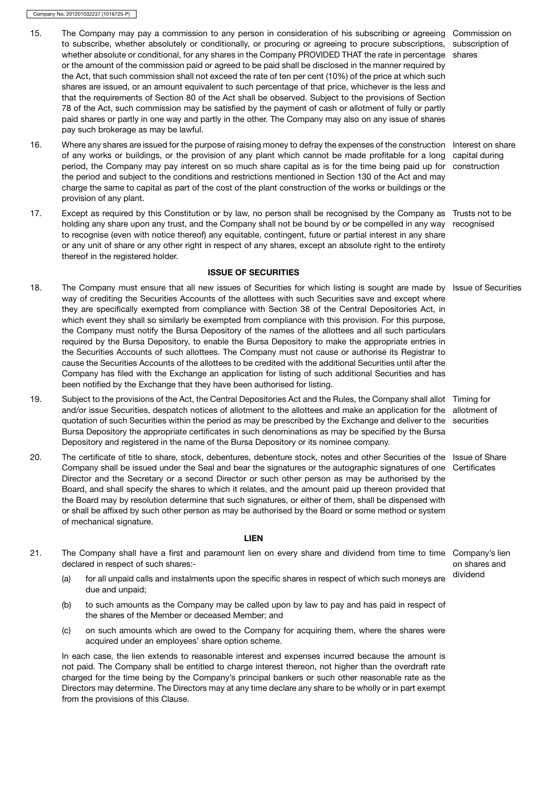- 15. The Company may pay a commission to any person in consideration of his subscribing or agreeing Commission on to subscribe, whether absolutely or conditionally, or procuring or agreeing to procure subscriptions, subscription of whether absolute or conditional, for any shares in the Company PROVIDED THAT the rate in percentage shares or the amount of the commission paid or agreed to be paid shall be disclosed in the manner required by the Act, that such commission shall not exceed the rate of ten per cent (10%) of the price at which such shares are issued, or an amount equivalent to such percentage of that price, whichever is the less and that the requirements of Section 80 of the Act shall be observed. Subject to the provisions of Section 78 of the Act, such commission may be satisfied by the payment of cash or allotment of fully or partly paid shares or partly in one way and partly in the other. The Company may also on any issue of shares pay such brokerage as may be lawful.
- 16. Where any shares are issued for the purpose of raising money to defray the expenses of the construction Interest on share of any works or buildings, or the provision of any plant which cannot be made profitable for a long capital during period, the Company may pay interest on so much share capital as is for the time being paid up for construction the period and subject to the conditions and restrictions mentioned in Section 130 of the Act and may charge the same to capital as part of the cost of the plant construction of the works or buildings or the provision of any plant.
- 17. Except as required by this Constitution or by law, no person shall be recognised by the Company as Trusts not to be holding any share upon any trust, and the Company shall not be bound by or be compelled in any way recognised to recognise (even with notice thereof) any equitable, contingent, future or partial interest in any share or any unit of share or any other right in respect of any shares, except an absolute right to the entirety thereof in the registered holder.

# ISSUE OF SECURITIES

- 18. The Company must ensure that all new issues of Securities for which listing is sought are made by Issue of Securities way of crediting the Securities Accounts of the allottees with such Securities save and except where they are specifically exempted from compliance with Section 38 of the Central Depositories Act, in which event they shall so similarly be exempted from compliance with this provision. For this purpose, the Company must notify the Bursa Depository of the names of the allottees and all such particulars required by the Bursa Depository, to enable the Bursa Depository to make the appropriate entries in the Securities Accounts of such allottees. The Company must not cause or authorise its Registrar to cause the Securities Accounts of the allottees to be credited with the additional Securities until after the Company has filed with the Exchange an application for listing of such additional Securities and has been notified by the Exchange that they have been authorised for listing.
- 19. Subject to the provisions of the Act, the Central Depositories Act and the Rules, the Company shall allot Timing for and/or issue Securities, despatch notices of allotment to the allottees and make an application for the allotment of quotation of such Securities within the period as may be prescribed by the Exchange and deliver to the securities Bursa Depository the appropriate certificates in such denominations as may be specified by the Bursa Depository and registered in the name of the Bursa Depository or its nominee company.
- 20. The certificate of title to share, stock, debentures, debenture stock, notes and other Securities of the Issue of Share Company shall be issued under the Seal and bear the signatures or the autographic signatures of one Certificates Director and the Secretary or a second Director or such other person as may be authorised by the Board, and shall specify the shares to which it relates, and the amount paid up thereon provided that the Board may by resolution determine that such signatures, or either of them, shall be dispensed with or shall be affixed by such other person as may be authorised by the Board or some method or system of mechanical signature.

#### LIEN

- 21. The Company shall have a first and paramount lien on every share and dividend from time to time Company's lien declared in respect of such shares:
	- on shares and
	- (a) for all unpaid calls and instalments upon the specific shares in respect of which such moneys are dividend due and unpaid;
	- (b) to such amounts as the Company may be called upon by law to pay and has paid in respect of the shares of the Member or deceased Member; and
	- (c) on such amounts which are owed to the Company for acquiring them, where the shares were acquired under an employees' share option scheme.

In each case, the lien extends to reasonable interest and expenses incurred because the amount is not paid. The Company shall be entitled to charge interest thereon, not higher than the overdraft rate charged for the time being by the Company's principal bankers or such other reasonable rate as the Directors may determine. The Directors may at any time declare any share to be wholly or in part exempt from the provisions of this Clause.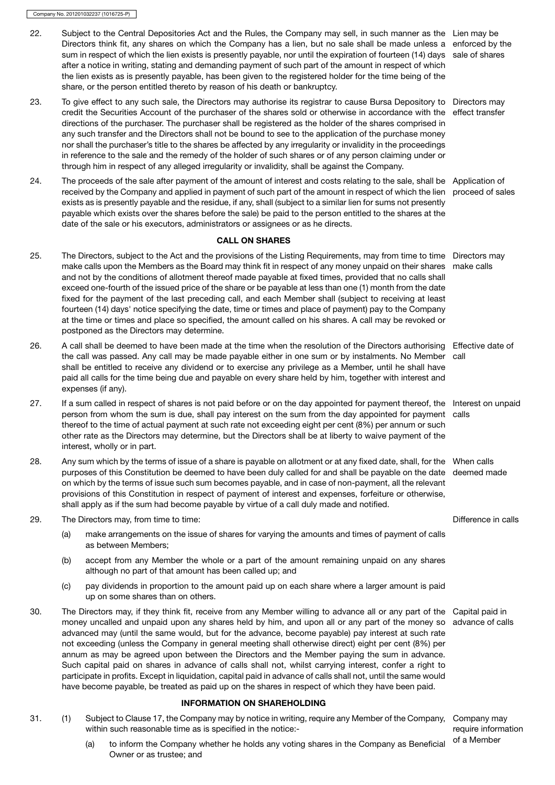- 22. Subject to the Central Depositories Act and the Rules, the Company may sell, in such manner as the Lien may be Directors think fit, any shares on which the Company has a lien, but no sale shall be made unless a enforced by the sum in respect of which the lien exists is presently payable, nor until the expiration of fourteen (14) days sale of shares after a notice in writing, stating and demanding payment of such part of the amount in respect of which the lien exists as is presently payable, has been given to the registered holder for the time being of the share, or the person entitled thereto by reason of his death or bankruptcy.
- 23. To give effect to any such sale, the Directors may authorise its registrar to cause Bursa Depository to Directors may credit the Securities Account of the purchaser of the shares sold or otherwise in accordance with the effect transfer directions of the purchaser. The purchaser shall be registered as the holder of the shares comprised in any such transfer and the Directors shall not be bound to see to the application of the purchase money nor shall the purchaser's title to the shares be affected by any irregularity or invalidity in the proceedings in reference to the sale and the remedy of the holder of such shares or of any person claiming under or through him in respect of any alleged irregularity or invalidity, shall be against the Company.
- 24. The proceeds of the sale after payment of the amount of interest and costs relating to the sale, shall be Application of received by the Company and applied in payment of such part of the amount in respect of which the lien proceed of sales exists as is presently payable and the residue, if any, shall (subject to a similar lien for sums not presently payable which exists over the shares before the sale) be paid to the person entitled to the shares at the date of the sale or his executors, administrators or assignees or as he directs.

# CALL ON SHARES

- 25. The Directors, subject to the Act and the provisions of the Listing Requirements, may from time to time Directors may make calls upon the Members as the Board may think fit in respect of any money unpaid on their shares make calls and not by the conditions of allotment thereof made payable at fixed times, provided that no calls shall exceed one-fourth of the issued price of the share or be payable at less than one (1) month from the date fixed for the payment of the last preceding call, and each Member shall (subject to receiving at least fourteen (14) days' notice specifying the date, time or times and place of payment) pay to the Company at the time or times and place so specified, the amount called on his shares. A call may be revoked or postponed as the Directors may determine.
- 26. A call shall be deemed to have been made at the time when the resolution of the Directors authorising Effective date of the call was passed. Any call may be made payable either in one sum or by instalments. No Member call shall be entitled to receive any dividend or to exercise any privilege as a Member, until he shall have paid all calls for the time being due and payable on every share held by him, together with interest and expenses (if any).
- 27. If a sum called in respect of shares is not paid before or on the day appointed for payment thereof, the Interest on unpaid person from whom the sum is due, shall pay interest on the sum from the day appointed for payment calls thereof to the time of actual payment at such rate not exceeding eight per cent (8%) per annum or such other rate as the Directors may determine, but the Directors shall be at liberty to waive payment of the interest, wholly or in part.
- 28. Any sum which by the terms of issue of a share is payable on allotment or at any fixed date, shall, for the When calls purposes of this Constitution be deemed to have been duly called for and shall be payable on the date deemed made on which by the terms of issue such sum becomes payable, and in case of non-payment, all the relevant provisions of this Constitution in respect of payment of interest and expenses, forfeiture or otherwise, shall apply as if the sum had become payable by virtue of a call duly made and notified.
- 29. The Directors may, from time to time:  $\blacksquare$  Difference in calls
	- (a) make arrangements on the issue of shares for varying the amounts and times of payment of calls as between Members;
	- (b) accept from any Member the whole or a part of the amount remaining unpaid on any shares although no part of that amount has been called up; and
	- (c) pay dividends in proportion to the amount paid up on each share where a larger amount is paid up on some shares than on others.
- 30. The Directors may, if they think fit, receive from any Member willing to advance all or any part of the Capital paid in money uncalled and unpaid upon any shares held by him, and upon all or any part of the money so advance of calls advanced may (until the same would, but for the advance, become payable) pay interest at such rate not exceeding (unless the Company in general meeting shall otherwise direct) eight per cent (8%) per annum as may be agreed upon between the Directors and the Member paying the sum in advance. Such capital paid on shares in advance of calls shall not, whilst carrying interest, confer a right to participate in profits. Except in liquidation, capital paid in advance of calls shall not, until the same would have become payable, be treated as paid up on the shares in respect of which they have been paid.

# INFORMATION ON SHAREHOLDING

- 31. (1) Subject to Clause 17, the Company may by notice in writing, require any Member of the Company, Company may within such reasonable time as is specified in the notice:
	- require information
	- (a) to inform the Company whether he holds any voting shares in the Company as Beneficial of a Member Owner or as trustee; and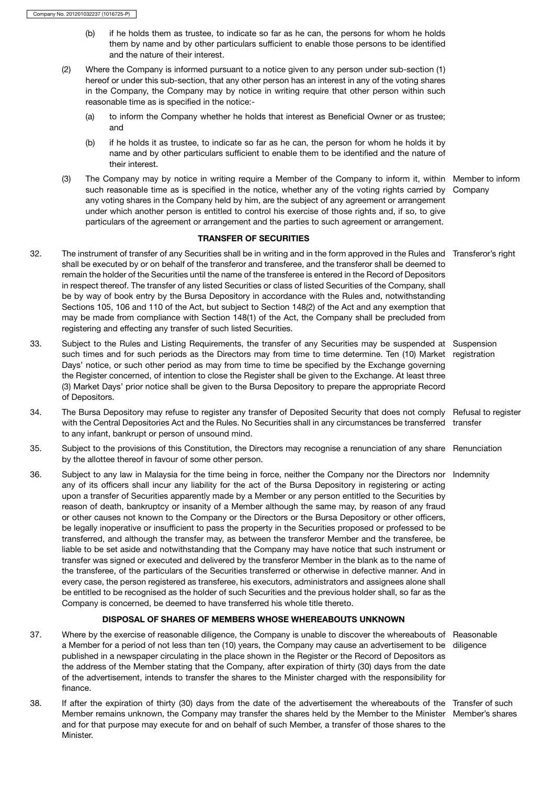- (b) if he holds them as trustee, to indicate so far as he can, the persons for whom he holds them by name and by other particulars sufficient to enable those persons to be identified and the nature of their interest.
- (2) Where the Company is informed pursuant to a notice given to any person under sub-section (1) hereof or under this sub-section, that any other person has an interest in any of the voting shares in the Company, the Company may by notice in writing require that other person within such reasonable time as is specified in the notice:-
	- (a) to inform the Company whether he holds that interest as Beneficial Owner or as trustee; and
	- (b) if he holds it as trustee, to indicate so far as he can, the person for whom he holds it by name and by other particulars sufficient to enable them to be identified and the nature of their interest.
- (3) The Company may by notice in writing require a Member of the Company to inform it, within Member to inform such reasonable time as is specified in the notice, whether any of the voting rights carried by Company any voting shares in the Company held by him, are the subject of any agreement or arrangement under which another person is entitled to control his exercise of those rights and, if so, to give particulars of the agreement or arrangement and the parties to such agreement or arrangement.

# TRANSFER OF SECURITIES

- 32. The instrument of transfer of any Securities shall be in writing and in the form approved in the Rules and Transferor's right shall be executed by or on behalf of the transferor and transferee, and the transferor shall be deemed to remain the holder of the Securities until the name of the transferee is entered in the Record of Depositors in respect thereof. The transfer of any listed Securities or class of listed Securities of the Company, shall be by way of book entry by the Bursa Depository in accordance with the Rules and, notwithstanding Sections 105, 106 and 110 of the Act, but subject to Section 148(2) of the Act and any exemption that may be made from compliance with Section 148(1) of the Act, the Company shall be precluded from registering and effecting any transfer of such listed Securities.
- 33. Subject to the Rules and Listing Requirements, the transfer of any Securities may be suspended at Suspension such times and for such periods as the Directors may from time to time determine. Ten (10) Market registration Days' notice, or such other period as may from time to time be specified by the Exchange governing the Register concerned, of intention to close the Register shall be given to the Exchange. At least three (3) Market Days' prior notice shall be given to the Bursa Depository to prepare the appropriate Record of Depositors.
- 34. The Bursa Depository may refuse to register any transfer of Deposited Security that does not comply Refusal to register with the Central Depositories Act and the Rules. No Securities shall in any circumstances be transferred transfer to any infant, bankrupt or person of unsound mind.
- 35. Subject to the provisions of this Constitution, the Directors may recognise a renunciation of any share Renunciation by the allottee thereof in favour of some other person.
- 36. Subject to any law in Malaysia for the time being in force, neither the Company nor the Directors nor Indemnity any of its officers shall incur any liability for the act of the Bursa Depository in registering or acting upon a transfer of Securities apparently made by a Member or any person entitled to the Securities by reason of death, bankruptcy or insanity of a Member although the same may, by reason of any fraud or other causes not known to the Company or the Directors or the Bursa Depository or other officers, be legally inoperative or insufficient to pass the property in the Securities proposed or professed to be transferred, and although the transfer may, as between the transferor Member and the transferee, be liable to be set aside and notwithstanding that the Company may have notice that such instrument or transfer was signed or executed and delivered by the transferor Member in the blank as to the name of the transferee, of the particulars of the Securities transferred or otherwise in defective manner. And in every case, the person registered as transferee, his executors, administrators and assignees alone shall be entitled to be recognised as the holder of such Securities and the previous holder shall, so far as the Company is concerned, be deemed to have transferred his whole title thereto.

# DISPOSAL OF SHARES OF MEMBERS WHOSE WHEREABOUTS UNKNOWN

- 37. Where by the exercise of reasonable diligence, the Company is unable to discover the whereabouts of Reasonable a Member for a period of not less than ten (10) years, the Company may cause an advertisement to be diligence published in a newspaper circulating in the place shown in the Register or the Record of Depositors as the address of the Member stating that the Company, after expiration of thirty (30) days from the date of the advertisement, intends to transfer the shares to the Minister charged with the responsibility for finance.
- 38. If after the expiration of thirty (30) days from the date of the advertisement the whereabouts of the Transfer of such Member remains unknown, the Company may transfer the shares held by the Member to the Minister Member's sharesand for that purpose may execute for and on behalf of such Member, a transfer of those shares to the Minister.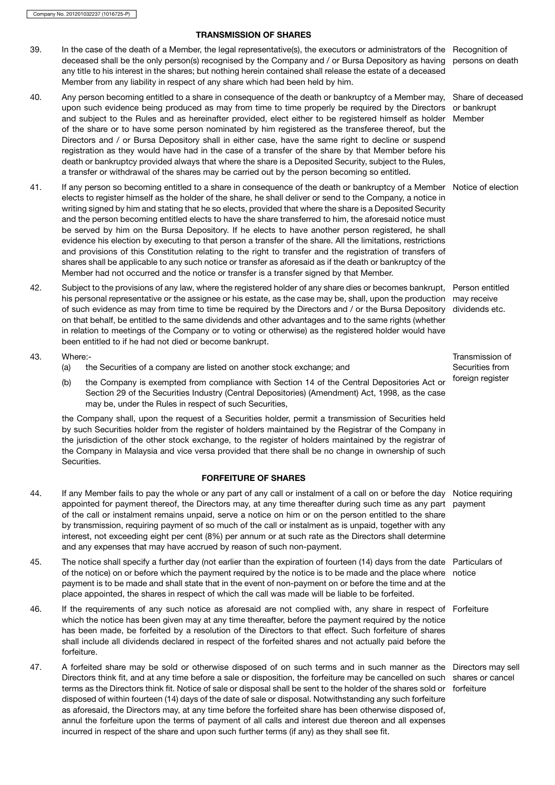# TRANSMISSION OF SHARES

- 39. In the case of the death of a Member, the legal representative(s), the executors or administrators of the Recognition of deceased shall be the only person(s) recognised by the Company and / or Bursa Depository as having any title to his interest in the shares; but nothing herein contained shall release the estate of a deceased Member from any liability in respect of any share which had been held by him. persons on death
- 40. Any person becoming entitled to a share in consequence of the death or bankruptcy of a Member may, Share of deceased upon such evidence being produced as may from time to time properly be required by the Directors or bankrupt and subject to the Rules and as hereinafter provided, elect either to be registered himself as holder Member of the share or to have some person nominated by him registered as the transferee thereof, but the Directors and / or Bursa Depository shall in either case, have the same right to decline or suspend registration as they would have had in the case of a transfer of the share by that Member before his death or bankruptcy provided always that where the share is a Deposited Security, subject to the Rules, a transfer or withdrawal of the shares may be carried out by the person becoming so entitled.
- 41. If any person so becoming entitled to a share in consequence of the death or bankruptcy of a Member Notice of election elects to register himself as the holder of the share, he shall deliver or send to the Company, a notice in writing signed by him and stating that he so elects, provided that where the share is a Deposited Security and the person becoming entitled elects to have the share transferred to him, the aforesaid notice must be served by him on the Bursa Depository. If he elects to have another person registered, he shall evidence his election by executing to that person a transfer of the share. All the limitations, restrictions and provisions of this Constitution relating to the right to transfer and the registration of transfers of shares shall be applicable to any such notice or transfer as aforesaid as if the death or bankruptcy of the Member had not occurred and the notice or transfer is a transfer signed by that Member.
- 42. Subject to the provisions of any law, where the registered holder of any share dies or becomes bankrupt, Person entitled his personal representative or the assignee or his estate, as the case may be, shall, upon the production may receive of such evidence as may from time to time be required by the Directors and / or the Bursa Depository on that behalf, be entitled to the same dividends and other advantages and to the same rights (whether in relation to meetings of the Company or to voting or otherwise) as the registered holder would have been entitled to if he had not died or become bankrupt. dividends etc.

43. Where:-

- (a) the Securities of a company are listed on another stock exchange; and
- (b) the Company is exempted from compliance with Section 14 of the Central Depositories Act or foreign register Section 29 of the Securities Industry (Central Depositories) (Amendment) Act, 1998, as the case may be, under the Rules in respect of such Securities,

the Company shall, upon the request of a Securities holder, permit a transmission of Securities held by such Securities holder from the register of holders maintained by the Registrar of the Company in the jurisdiction of the other stock exchange, to the register of holders maintained by the registrar of the Company in Malaysia and vice versa provided that there shall be no change in ownership of such Securities.

# FORFEITURE OF SHARES

- 44. If any Member fails to pay the whole or any part of any call or instalment of a call on or before the day Notice requiring appointed for payment thereof, the Directors may, at any time thereafter during such time as any part payment of the call or instalment remains unpaid, serve a notice on him or on the person entitled to the share by transmission, requiring payment of so much of the call or instalment as is unpaid, together with any interest, not exceeding eight per cent (8%) per annum or at such rate as the Directors shall determine and any expenses that may have accrued by reason of such non-payment.
- 45. The notice shall specify a further day (not earlier than the expiration of fourteen (14) days from the date Particulars of of the notice) on or before which the payment required by the notice is to be made and the place where notice payment is to be made and shall state that in the event of non-payment on or before the time and at the place appointed, the shares in respect of which the call was made will be liable to be forfeited.
- 46. If the requirements of any such notice as aforesaid are not complied with, any share in respect of Forfeiture which the notice has been given may at any time thereafter, before the payment required by the notice has been made, be forfeited by a resolution of the Directors to that effect. Such forfeiture of shares shall include all dividends declared in respect of the forfeited shares and not actually paid before the forfeiture.
- 47. A forfeited share may be sold or otherwise disposed of on such terms and in such manner as the Directors may sell Directors think fit, and at any time before a sale or disposition, the forfeiture may be cancelled on such shares or cancel terms as the Directors think fit. Notice of sale or disposal shall be sent to the holder of the shares sold or forfeituredisposed of within fourteen (14) days of the date of sale or disposal. Notwithstanding any such forfeiture as aforesaid, the Directors may, at any time before the forfeited share has been otherwise disposed of, annul the forfeiture upon the terms of payment of all calls and interest due thereon and all expenses incurred in respect of the share and upon such further terms (if any) as they shall see fit.

Transmission of Securities from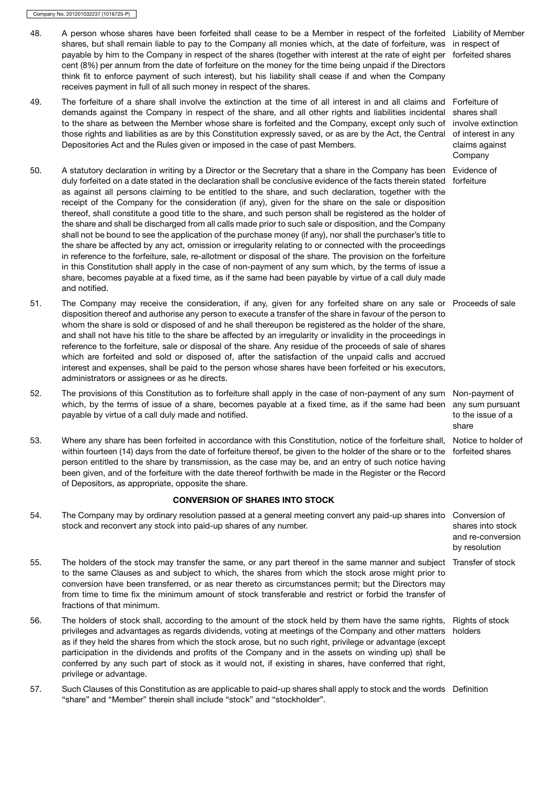- 48. A person whose shares have been forfeited shall cease to be a Member in respect of the forfeited Liability of Member shares, but shall remain liable to pay to the Company all monies which, at the date of forfeiture, was in respect of payable by him to the Company in respect of the shares (together with interest at the rate of eight per forfeited shares cent (8%) per annum from the date of forfeiture on the money for the time being unpaid if the Directors think fit to enforce payment of such interest), but his liability shall cease if and when the Company receives payment in full of all such money in respect of the shares.
- 49. The forfeiture of a share shall involve the extinction at the time of all interest in and all claims and Forfeiture of demands against the Company in respect of the share, and all other rights and liabilities incidental to the share as between the Member whose share is forfeited and the Company, except only such of those rights and liabilities as are by this Constitution expressly saved, or as are by the Act, the Central Depositories Act and the Rules given or imposed in the case of past Members.
- 50. A statutory declaration in writing by a Director or the Secretary that a share in the Company has been Evidence of duly forfeited on a date stated in the declaration shall be conclusive evidence of the facts therein stated forfeiture as against all persons claiming to be entitled to the share, and such declaration, together with the receipt of the Company for the consideration (if any), given for the share on the sale or disposition thereof, shall constitute a good title to the share, and such person shall be registered as the holder of the share and shall be discharged from all calls made prior to such sale or disposition, and the Company shall not be bound to see the application of the purchase money (if any), nor shall the purchaser's title to the share be affected by any act, omission or irregularity relating to or connected with the proceedings in reference to the forfeiture, sale, re-allotment or disposal of the share. The provision on the forfeiture in this Constitution shall apply in the case of non-payment of any sum which, by the terms of issue a share, becomes payable at a fixed time, as if the same had been payable by virtue of a call duly made and notified.
- 51. The Company may receive the consideration, if any, given for any forfeited share on any sale or Proceeds of sale disposition thereof and authorise any person to execute a transfer of the share in favour of the person to whom the share is sold or disposed of and he shall thereupon be registered as the holder of the share, and shall not have his title to the share be affected by an irregularity or invalidity in the proceedings in reference to the forfeiture, sale or disposal of the share. Any residue of the proceeds of sale of shares which are forfeited and sold or disposed of, after the satisfaction of the unpaid calls and accrued interest and expenses, shall be paid to the person whose shares have been forfeited or his executors, administrators or assignees or as he directs.
- 52. The provisions of this Constitution as to forfeiture shall apply in the case of non-payment of any sum Non-payment of which, by the terms of issue of a share, becomes payable at a fixed time, as if the same had been any sum pursuant payable by virtue of a call duly made and notified.
- 53. Where any share has been forfeited in accordance with this Constitution, notice of the forfeiture shall, Notice to holder of within fourteen (14) days from the date of forfeiture thereof, be given to the holder of the share or to the forfeited shares person entitled to the share by transmission, as the case may be, and an entry of such notice having been given, and of the forfeiture with the date thereof forthwith be made in the Register or the Record of Depositors, as appropriate, opposite the share.

# CONVERSION OF SHARES INTO STOCK

- 54. The Company may by ordinary resolution passed at a general meeting convert any paid-up shares into Conversion of stock and reconvert any stock into paid-up shares of any number. shares into stock and re-conversion by resolution 55. The holders of the stock may transfer the same, or any part thereof in the same manner and subject Transfer of stock to the same Clauses as and subject to which, the shares from which the stock arose might prior to conversion have been transferred, or as near thereto as circumstances permit; but the Directors may from time to time fix the minimum amount of stock transferable and restrict or forbid the transfer of fractions of that minimum. 56. The holders of stock shall, according to the amount of the stock held by them have the same rights, Rights of stock privileges and advantages as regards dividends, voting at meetings of the Company and other matters as if they held the shares from which the stock arose, but no such right, privilege or advantage (except holders
- participation in the dividends and profits of the Company and in the assets on winding up) shall be conferred by any such part of stock as it would not, if existing in shares, have conferred that right, privilege or advantage.
- 57. Such Clauses of this Constitution as are applicable to paid-up shares shall apply to stock and the words Definition"share" and "Member" therein shall include "stock" and "stockholder".

shares shall involve extinction of interest in any claims against Company

to the issue of a share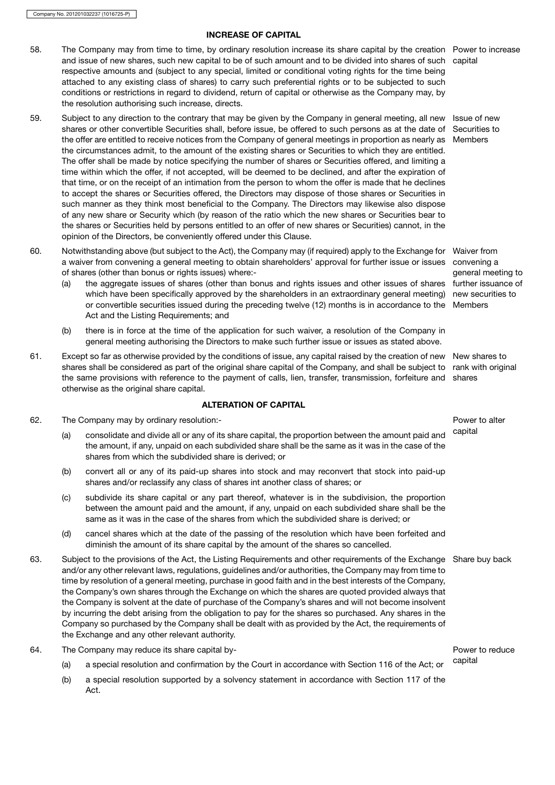# INCREASE OF CAPITAL

- 58. The Company may from time to time, by ordinary resolution increase its share capital by the creation Power to increase and issue of new shares, such new capital to be of such amount and to be divided into shares of such capital respective amounts and (subject to any special, limited or conditional voting rights for the time being attached to any existing class of shares) to carry such preferential rights or to be subjected to such conditions or restrictions in regard to dividend, return of capital or otherwise as the Company may, by the resolution authorising such increase, directs.
- 59. Subject to any direction to the contrary that may be given by the Company in general meeting, all new Issue of new shares or other convertible Securities shall, before issue, be offered to such persons as at the date of Securities to the offer are entitled to receive notices from the Company of general meetings in proportion as nearly as Members the circumstances admit, to the amount of the existing shares or Securities to which they are entitled. The offer shall be made by notice specifying the number of shares or Securities offered, and limiting a time within which the offer, if not accepted, will be deemed to be declined, and after the expiration of that time, or on the receipt of an intimation from the person to whom the offer is made that he declines to accept the shares or Securities offered, the Directors may dispose of those shares or Securities in such manner as they think most beneficial to the Company. The Directors may likewise also dispose of any new share or Security which (by reason of the ratio which the new shares or Securities bear to the shares or Securities held by persons entitled to an offer of new shares or Securities) cannot, in the opinion of the Directors, be conveniently offered under this Clause.
- 60. Notwithstanding above (but subject to the Act), the Company may (if required) apply to the Exchange for Waiver from a waiver from convening a general meeting to obtain shareholders' approval for further issue or issues of shares (other than bonus or rights issues) where:-
	- (a) the aggregate issues of shares (other than bonus and rights issues and other issues of shares which have been specifically approved by the shareholders in an extraordinary general meeting) new securities to or convertible securities issued during the preceding twelve (12) months is in accordance to the Members Act and the Listing Requirements; and
	- (b) there is in force at the time of the application for such waiver, a resolution of the Company in general meeting authorising the Directors to make such further issue or issues as stated above.
- 61. Except so far as otherwise provided by the conditions of issue, any capital raised by the creation of new New shares to shares shall be considered as part of the original share capital of the Company, and shall be subject to rank with original the same provisions with reference to the payment of calls, lien, transfer, transmission, forfeiture and shares otherwise as the original share capital.

# ALTERATION OF CAPITAL

- 62. The Company may by ordinary resolution:-<br> **EXECUTE:** Power to alter
	- (a) consolidate and divide all or any of its share capital, the proportion between the amount paid and capital the amount, if any, unpaid on each subdivided share shall be the same as it was in the case of the shares from which the subdivided share is derived; or
	- (b) convert all or any of its paid-up shares into stock and may reconvert that stock into paid-up shares and/or reclassify any class of shares int another class of shares; or
	- (c) subdivide its share capital or any part thereof, whatever is in the subdivision, the proportion between the amount paid and the amount, if any, unpaid on each subdivided share shall be the same as it was in the case of the shares from which the subdivided share is derived; or
	- (d) cancel shares which at the date of the passing of the resolution which have been forfeited and diminish the amount of its share capital by the amount of the shares so cancelled.
- 63. Subject to the provisions of the Act, the Listing Requirements and other requirements of the Exchange Share buy back and/or any other relevant laws, regulations, guidelines and/or authorities, the Company may from time to time by resolution of a general meeting, purchase in good faith and in the best interests of the Company, the Company's own shares through the Exchange on which the shares are quoted provided always that the Company is solvent at the date of purchase of the Company's shares and will not become insolvent by incurring the debt arising from the obligation to pay for the shares so purchased. Any shares in the Company so purchased by the Company shall be dealt with as provided by the Act, the requirements of the Exchange and any other relevant authority.
- 64. The Company may reduce its share capital by- Power to reduce
	- (a) a special resolution and confirmation by the Court in accordance with Section 116 of the Act; or capital
	- (b) a special resolution supported by a solvency statement in accordance with Section 117 of the Act.

convening a general meeting to further issuance of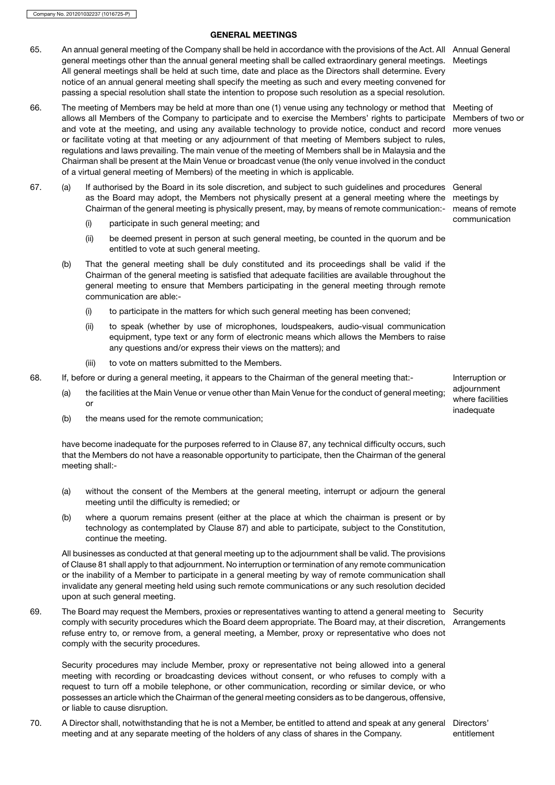# GENERAL MEETINGS

- 65. An annual general meeting of the Company shall be held in accordance with the provisions of the Act. All Annual General general meetings other than the annual general meeting shall be called extraordinary general meetings. All general meetings shall be held at such time, date and place as the Directors shall determine. Every notice of an annual general meeting shall specify the meeting as such and every meeting convened for passing a special resolution shall state the intention to propose such resolution as a special resolution.
- 66. The meeting of Members may be held at more than one (1) venue using any technology or method that Meeting of allows all Members of the Company to participate and to exercise the Members' rights to participate and vote at the meeting, and using any available technology to provide notice, conduct and record more venues or facilitate voting at that meeting or any adjournment of that meeting of Members subject to rules, regulations and laws prevailing. The main venue of the meeting of Members shall be in Malaysia and the Chairman shall be present at the Main Venue or broadcast venue (the only venue involved in the conduct of a virtual general meeting of Members) of the meeting in which is applicable.
- 67. (a) If authorised by the Board in its sole discretion, and subject to such guidelines and procedures General as the Board may adopt, the Members not physically present at a general meeting where the meetings by Chairman of the general meeting is physically present, may, by means of remote communication:- means of remote
	- communication (i) participate in such general meeting; and
	- (ii) be deemed present in person at such general meeting, be counted in the quorum and be entitled to vote at such general meeting.
	- (b) That the general meeting shall be duly constituted and its proceedings shall be valid if the Chairman of the general meeting is satisfied that adequate facilities are available throughout the general meeting to ensure that Members participating in the general meeting through remote communication are able:-
		- (i) to participate in the matters for which such general meeting has been convened;
		- (ii) to speak (whether by use of microphones, loudspeakers, audio-visual communication equipment, type text or any form of electronic means which allows the Members to raise any questions and/or express their views on the matters); and
		- (iii) to vote on matters submitted to the Members.
- 68. If, before or during a general meeting, it appears to the Chairman of the general meeting that:- Interruption or
	- (a) the facilities at the Main Venue or venue other than Main Venue for the conduct of general meeting; or
	- (b) the means used for the remote communication;

have become inadequate for the purposes referred to in Clause 87, any technical difficulty occurs, such that the Members do not have a reasonable opportunity to participate, then the Chairman of the general meeting shall:-

- (a) without the consent of the Members at the general meeting, interrupt or adjourn the general meeting until the difficulty is remedied; or
- (b) where a quorum remains present (either at the place at which the chairman is present or by technology as contemplated by Clause 87) and able to participate, subject to the Constitution, continue the meeting.

All businesses as conducted at that general meeting up to the adjournment shall be valid. The provisions of Clause 81 shall apply to that adjournment. No interruption or termination of any remote communication or the inability of a Member to participate in a general meeting by way of remote communication shall invalidate any general meeting held using such remote communications or any such resolution decided upon at such general meeting.

69. The Board may request the Members, proxies or representatives wanting to attend a general meeting to Security comply with security procedures which the Board deem appropriate. The Board may, at their discretion, refuse entry to, or remove from, a general meeting, a Member, proxy or representative who does not comply with the security procedures. Arrangements

Security procedures may include Member, proxy or representative not being allowed into a general meeting with recording or broadcasting devices without consent, or who refuses to comply with a request to turn off a mobile telephone, or other communication, recording or similar device, or who possesses an article which the Chairman of the general meeting considers as to be dangerous, offensive, or liable to cause disruption.

70. A Director shall, notwithstanding that he is not a Member, be entitled to attend and speak at any general Directors' meeting and at any separate meeting of the holders of any class of shares in the Company. entitlement

**Meetings** 

Members of two or

adjournment where facilities inadequate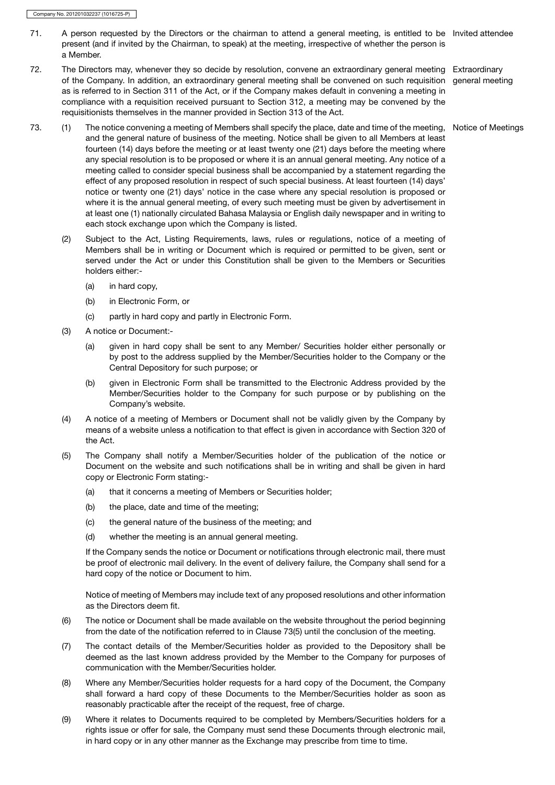- 71. A person requested by the Directors or the chairman to attend a general meeting, is entitled to be Invited attendee present (and if invited by the Chairman, to speak) at the meeting, irrespective of whether the person is a Member.
- 72. The Directors may, whenever they so decide by resolution, convene an extraordinary general meeting Extraordinary of the Company. In addition, an extraordinary general meeting shall be convened on such requisition general meeting as is referred to in Section 311 of the Act, or if the Company makes default in convening a meeting in compliance with a requisition received pursuant to Section 312, a meeting may be convened by the requisitionists themselves in the manner provided in Section 313 of the Act.
- 73. (1) The notice convening a meeting of Members shall specify the place, date and time of the meeting, Notice of Meetings and the general nature of business of the meeting. Notice shall be given to all Members at least fourteen (14) days before the meeting or at least twenty one (21) days before the meeting where any special resolution is to be proposed or where it is an annual general meeting. Any notice of a meeting called to consider special business shall be accompanied by a statement regarding the effect of any proposed resolution in respect of such special business. At least fourteen (14) days' notice or twenty one (21) days' notice in the case where any special resolution is proposed or where it is the annual general meeting, of every such meeting must be given by advertisement in at least one (1) nationally circulated Bahasa Malaysia or English daily newspaper and in writing to each stock exchange upon which the Company is listed.
	- (2) Subject to the Act, Listing Requirements, laws, rules or regulations, notice of a meeting of Members shall be in writing or Document which is required or permitted to be given, sent or served under the Act or under this Constitution shall be given to the Members or Securities holders either:-
		- (a) in hard copy,
		- (b) in Electronic Form, or
		- (c) partly in hard copy and partly in Electronic Form.
	- (3) A notice or Document:-
		- (a) given in hard copy shall be sent to any Member/ Securities holder either personally or by post to the address supplied by the Member/Securities holder to the Company or the Central Depository for such purpose; or
		- (b) given in Electronic Form shall be transmitted to the Electronic Address provided by the Member/Securities holder to the Company for such purpose or by publishing on the Company's website.
	- (4) A notice of a meeting of Members or Document shall not be validly given by the Company by means of a website unless a notification to that effect is given in accordance with Section 320 of the Act.
	- (5) The Company shall notify a Member/Securities holder of the publication of the notice or Document on the website and such notifications shall be in writing and shall be given in hard copy or Electronic Form stating:-
		- (a) that it concerns a meeting of Members or Securities holder;
		- (b) the place, date and time of the meeting;
		- (c) the general nature of the business of the meeting; and
		- (d) whether the meeting is an annual general meeting.

If the Company sends the notice or Document or notifications through electronic mail, there must be proof of electronic mail delivery. In the event of delivery failure, the Company shall send for a hard copy of the notice or Document to him.

Notice of meeting of Members may include text of any proposed resolutions and other information as the Directors deem fit.

- (6) The notice or Document shall be made available on the website throughout the period beginning from the date of the notification referred to in Clause 73(5) until the conclusion of the meeting.
- (7) The contact details of the Member/Securities holder as provided to the Depository shall be deemed as the last known address provided by the Member to the Company for purposes of communication with the Member/Securities holder.
- (8) Where any Member/Securities holder requests for a hard copy of the Document, the Company shall forward a hard copy of these Documents to the Member/Securities holder as soon as reasonably practicable after the receipt of the request, free of charge.
- (9) Where it relates to Documents required to be completed by Members/Securities holders for a rights issue or offer for sale, the Company must send these Documents through electronic mail, in hard copy or in any other manner as the Exchange may prescribe from time to time.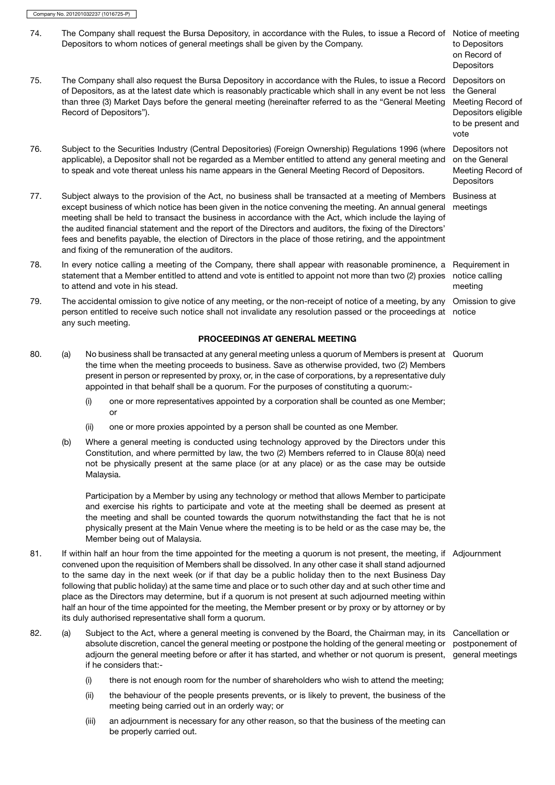any such meeting.

74. The Company shall request the Bursa Depository, in accordance with the Rules, to issue a Record of Notice of meeting Depositors to whom notices of general meetings shall be given by the Company. to Depositors on Record of **Depositors** 75. The Company shall also request the Bursa Depository in accordance with the Rules, to issue a Record of Depositors, as at the latest date which is reasonably practicable which shall in any event be not less than three (3) Market Days before the general meeting (hereinafter referred to as the "General Meeting Record of Depositors"). Depositors on the General Meeting Record of Depositors eligible to be present and vote 76. Subject to the Securities Industry (Central Depositories) (Foreign Ownership) Regulations 1996 (where applicable), a Depositor shall not be regarded as a Member entitled to attend any general meeting and to speak and vote thereat unless his name appears in the General Meeting Record of Depositors. Depositors not on the General Meeting Record of **Depositors** 77. Subject always to the provision of the Act, no business shall be transacted at a meeting of Members except business of which notice has been given in the notice convening the meeting. An annual general meeting shall be held to transact the business in accordance with the Act, which include the laying of the audited financial statement and the report of the Directors and auditors, the fixing of the Directors' fees and benefits payable, the election of Directors in the place of those retiring, and the appointment and fixing of the remuneration of the auditors. Business at meetings 78. In every notice calling a meeting of the Company, there shall appear with reasonable prominence, a Requirement in statement that a Member entitled to attend and vote is entitled to appoint not more than two (2) proxies notice calling to attend and vote in his stead. meeting 79. The accidental omission to give notice of any meeting, or the non-receipt of notice of a meeting, by any Omission to give person entitled to receive such notice shall not invalidate any resolution passed or the proceedings at notice

# PROCEEDINGS AT GENERAL MEETING

- 80. (a) No business shall be transacted at any general meeting unless a quorum of Members is present at Quorum the time when the meeting proceeds to business. Save as otherwise provided, two (2) Members present in person or represented by proxy, or, in the case of corporations, by a representative duly appointed in that behalf shall be a quorum. For the purposes of constituting a quorum:-
	- (i) one or more representatives appointed by a corporation shall be counted as one Member; or
	- (ii) one or more proxies appointed by a person shall be counted as one Member.
	- (b) Where a general meeting is conducted using technology approved by the Directors under this Constitution, and where permitted by law, the two (2) Members referred to in Clause 80(a) need not be physically present at the same place (or at any place) or as the case may be outside Malaysia.

Participation by a Member by using any technology or method that allows Member to participate and exercise his rights to participate and vote at the meeting shall be deemed as present at the meeting and shall be counted towards the quorum notwithstanding the fact that he is not physically present at the Main Venue where the meeting is to be held or as the case may be, the Member being out of Malaysia.

- 81. If within half an hour from the time appointed for the meeting a quorum is not present, the meeting, if Adjournment convened upon the requisition of Members shall be dissolved. In any other case it shall stand adjourned to the same day in the next week (or if that day be a public holiday then to the next Business Day following that public holiday) at the same time and place or to such other day and at such other time and place as the Directors may determine, but if a quorum is not present at such adjourned meeting within half an hour of the time appointed for the meeting, the Member present or by proxy or by attorney or by its duly authorised representative shall form a quorum.
- 82. (a) Subject to the Act, where a general meeting is convened by the Board, the Chairman may, in its Cancellation or absolute discretion, cancel the general meeting or postpone the holding of the general meeting or postponement of adjourn the general meeting before or after it has started, and whether or not quorum is present, general meetings if he considers that:-
	- (i) there is not enough room for the number of shareholders who wish to attend the meeting;
	- (ii) the behaviour of the people presents prevents, or is likely to prevent, the business of the meeting being carried out in an orderly way; or
	- (iii) an adjournment is necessary for any other reason, so that the business of the meeting can be properly carried out.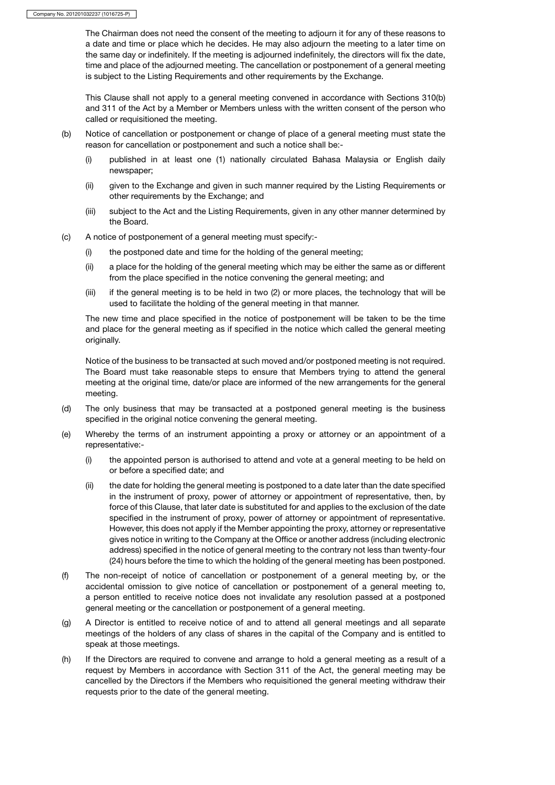The Chairman does not need the consent of the meeting to adjourn it for any of these reasons to a date and time or place which he decides. He may also adjourn the meeting to a later time on the same day or indefinitely. If the meeting is adjourned indefinitely, the directors will fix the date, time and place of the adjourned meeting. The cancellation or postponement of a general meeting is subject to the Listing Requirements and other requirements by the Exchange.

This Clause shall not apply to a general meeting convened in accordance with Sections 310(b) and 311 of the Act by a Member or Members unless with the written consent of the person who called or requisitioned the meeting.

- (b) Notice of cancellation or postponement or change of place of a general meeting must state the reason for cancellation or postponement and such a notice shall be:-
	- (i) published in at least one (1) nationally circulated Bahasa Malaysia or English daily newspaper;
	- (ii) given to the Exchange and given in such manner required by the Listing Requirements or other requirements by the Exchange; and
	- (iii) subject to the Act and the Listing Requirements, given in any other manner determined by the Board.
- (c) A notice of postponement of a general meeting must specify:-
	- (i) the postponed date and time for the holding of the general meeting;
	- (ii) a place for the holding of the general meeting which may be either the same as or different from the place specified in the notice convening the general meeting; and
	- (iii) if the general meeting is to be held in two (2) or more places, the technology that will be used to facilitate the holding of the general meeting in that manner.

The new time and place specified in the notice of postponement will be taken to be the time and place for the general meeting as if specified in the notice which called the general meeting originally.

Notice of the business to be transacted at such moved and/or postponed meeting is not required. The Board must take reasonable steps to ensure that Members trying to attend the general meeting at the original time, date/or place are informed of the new arrangements for the general meeting.

- (d) The only business that may be transacted at a postponed general meeting is the business specified in the original notice convening the general meeting.
- (e) Whereby the terms of an instrument appointing a proxy or attorney or an appointment of a representative:-
	- (i) the appointed person is authorised to attend and vote at a general meeting to be held on or before a specified date; and
	- (ii) the date for holding the general meeting is postponed to a date later than the date specified in the instrument of proxy, power of attorney or appointment of representative, then, by force of this Clause, that later date is substituted for and applies to the exclusion of the date specified in the instrument of proxy, power of attorney or appointment of representative. However, this does not apply if the Member appointing the proxy, attorney or representative gives notice in writing to the Company at the Office or another address (including electronic address) specified in the notice of general meeting to the contrary not less than twenty-four (24) hours before the time to which the holding of the general meeting has been postponed.
- (f) The non-receipt of notice of cancellation or postponement of a general meeting by, or the accidental omission to give notice of cancellation or postponement of a general meeting to, a person entitled to receive notice does not invalidate any resolution passed at a postponed general meeting or the cancellation or postponement of a general meeting.
- (g) A Director is entitled to receive notice of and to attend all general meetings and all separate meetings of the holders of any class of shares in the capital of the Company and is entitled to speak at those meetings.
- (h) If the Directors are required to convene and arrange to hold a general meeting as a result of a request by Members in accordance with Section 311 of the Act, the general meeting may be cancelled by the Directors if the Members who requisitioned the general meeting withdraw their requests prior to the date of the general meeting.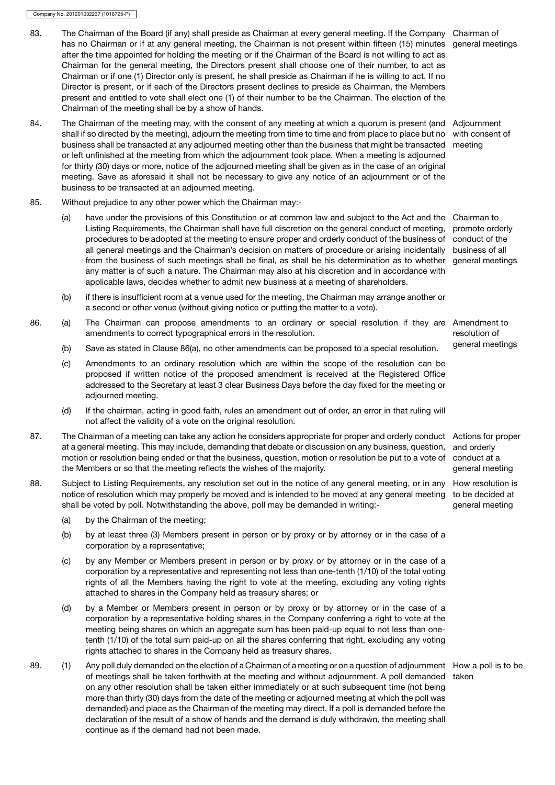- 83. The Chairman of the Board (if any) shall preside as Chairman at every general meeting. If the Company Chairman of has no Chairman or if at any general meeting, the Chairman is not present within fifteen (15) minutes general meetings after the time appointed for holding the meeting or if the Chairman of the Board is not willing to act as Chairman for the general meeting, the Directors present shall choose one of their number, to act as Chairman or if one (1) Director only is present, he shall preside as Chairman if he is willing to act. If no Director is present, or if each of the Directors present declines to preside as Chairman, the Members present and entitled to vote shall elect one (1) of their number to be the Chairman. The election of the Chairman of the meeting shall be by a show of hands.
- 84. The Chairman of the meeting may, with the consent of any meeting at which a quorum is present (and Adjournment shall if so directed by the meeting), adjourn the meeting from time to time and from place to place but no business shall be transacted at any adjourned meeting other than the business that might be transacted meeting or left unfinished at the meeting from which the adjournment took place. When a meeting is adjourned for thirty (30) days or more, notice of the adjourned meeting shall be given as in the case of an original meeting. Save as aforesaid it shall not be necessary to give any notice of an adjournment or of the business to be transacted at an adjourned meeting. with consent of
- 85. Without prejudice to any other power which the Chairman may:-
	- (a) have under the provisions of this Constitution or at common law and subject to the Act and the Chairman to Listing Requirements, the Chairman shall have full discretion on the general conduct of meeting, promote orderly procedures to be adopted at the meeting to ensure proper and orderly conduct of the business of conduct of the all general meetings and the Chairman's decision on matters of procedure or arising incidentally business of all from the business of such meetings shall be final, as shall be his determination as to whether general meetings any matter is of such a nature. The Chairman may also at his discretion and in accordance with applicable laws, decides whether to admit new business at a meeting of shareholders.
	- (b) if there is insufficient room at a venue used for the meeting, the Chairman may arrange another or a second or other venue (without giving notice or putting the matter to a vote).
- 86. (a) The Chairman can propose amendments to an ordinary or special resolution if they are Amendment to amendments to correct typographical errors in the resolution.
	- (b) Save as stated in Clause 86(a), no other amendments can be proposed to a special resolution. general meetings
	- (c) Amendments to an ordinary resolution which are within the scope of the resolution can be proposed if written notice of the proposed amendment is received at the Registered Office addressed to the Secretary at least 3 clear Business Days before the day fixed for the meeting or adjourned meeting.
	- (d) If the chairman, acting in good faith, rules an amendment out of order, an error in that ruling will not affect the validity of a vote on the original resolution.
- 87. The Chairman of a meeting can take any action he considers appropriate for proper and orderly conduct Actions for proper at a general meeting. This may include, demanding that debate or discussion on any business, question, motion or resolution being ended or that the business, question, motion or resolution be put to a vote of the Members or so that the meeting reflects the wishes of the majority.
- 88. Subject to Listing Requirements, any resolution set out in the notice of any general meeting, or in any notice of resolution which may properly be moved and is intended to be moved at any general meeting to be decided at shall be voted by poll. Notwithstanding the above, poll may be demanded in writing:-
	- (a) by the Chairman of the meeting;
	- (b) by at least three (3) Members present in person or by proxy or by attorney or in the case of a corporation by a representative;
	- (c) by any Member or Members present in person or by proxy or by attorney or in the case of a corporation by a representative and representing not less than one-tenth (1/10) of the total voting rights of all the Members having the right to vote at the meeting, excluding any voting rights attached to shares in the Company held as treasury shares; or
	- (d) by a Member or Members present in person or by proxy or by attorney or in the case of a corporation by a representative holding shares in the Company conferring a right to vote at the meeting being shares on which an aggregate sum has been paid-up equal to not less than onetenth (1/10) of the total sum paid-up on all the shares conferring that right, excluding any voting rights attached to shares in the Company held as treasury shares.
- 89. (1) Any poll duly demanded on the election of a Chairman of a meeting or on a question of adjournment How a poll is to be of meetings shall be taken forthwith at the meeting and without adjournment. A poll demanded takenon any other resolution shall be taken either immediately or at such subsequent time (not being more than thirty (30) days from the date of the meeting or adjourned meeting at which the poll was demanded) and place as the Chairman of the meeting may direct. If a poll is demanded before the declaration of the result of a show of hands and the demand is duly withdrawn, the meeting shall continue as if the demand had not been made.

resolution of

and orderly conduct at a general meeting

How resolution is general meeting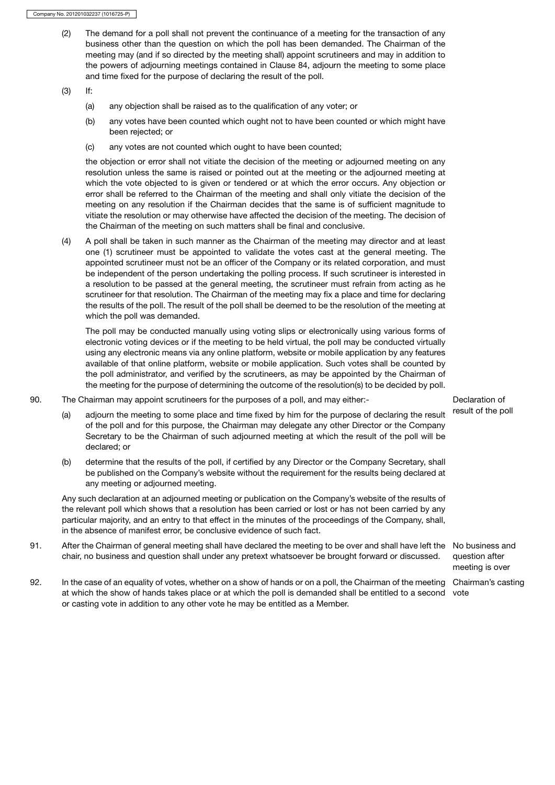(2) The demand for a poll shall not prevent the continuance of a meeting for the transaction of any business other than the question on which the poll has been demanded. The Chairman of the meeting may (and if so directed by the meeting shall) appoint scrutineers and may in addition to the powers of adjourning meetings contained in Clause 84, adjourn the meeting to some place and time fixed for the purpose of declaring the result of the poll.

(3) If:

- (a) any objection shall be raised as to the qualification of any voter; or
- (b) any votes have been counted which ought not to have been counted or which might have been rejected; or
- (c) any votes are not counted which ought to have been counted;

the objection or error shall not vitiate the decision of the meeting or adjourned meeting on any resolution unless the same is raised or pointed out at the meeting or the adjourned meeting at which the vote objected to is given or tendered or at which the error occurs. Any objection or error shall be referred to the Chairman of the meeting and shall only vitiate the decision of the meeting on any resolution if the Chairman decides that the same is of sufficient magnitude to vitiate the resolution or may otherwise have affected the decision of the meeting. The decision of the Chairman of the meeting on such matters shall be final and conclusive.

(4) A poll shall be taken in such manner as the Chairman of the meeting may director and at least one (1) scrutineer must be appointed to validate the votes cast at the general meeting. The appointed scrutineer must not be an officer of the Company or its related corporation, and must be independent of the person undertaking the polling process. If such scrutineer is interested in a resolution to be passed at the general meeting, the scrutineer must refrain from acting as he scrutineer for that resolution. The Chairman of the meeting may fix a place and time for declaring the results of the poll. The result of the poll shall be deemed to be the resolution of the meeting at which the poll was demanded.

The poll may be conducted manually using voting slips or electronically using various forms of electronic voting devices or if the meeting to be held virtual, the poll may be conducted virtually using any electronic means via any online platform, website or mobile application by any features available of that online platform, website or mobile application. Such votes shall be counted by the poll administrator, and verified by the scrutineers, as may be appointed by the Chairman of the meeting for the purpose of determining the outcome of the resolution(s) to be decided by poll.

90. The Chairman may appoint scrutineers for the purposes of a poll, and may either:- Declaration of

- (a) adjourn the meeting to some place and time fixed by him for the purpose of declaring the result result of the poll of the poll and for this purpose, the Chairman may delegate any other Director or the Company Secretary to be the Chairman of such adjourned meeting at which the result of the poll will be declared; or
- (b) determine that the results of the poll, if certified by any Director or the Company Secretary, shall be published on the Company's website without the requirement for the results being declared at any meeting or adjourned meeting.

Any such declaration at an adjourned meeting or publication on the Company's website of the results of the relevant poll which shows that a resolution has been carried or lost or has not been carried by any particular majority, and an entry to that effect in the minutes of the proceedings of the Company, shall, in the absence of manifest error, be conclusive evidence of such fact.

91. After the Chairman of general meeting shall have declared the meeting to be over and shall have left the No business and chair, no business and question shall under any pretext whatsoever be brought forward or discussed.

92. In the case of an equality of votes, whether on a show of hands or on a poll, the Chairman of the meeting Chairman's casting at which the show of hands takes place or at which the poll is demanded shall be entitled to a second voteor casting vote in addition to any other vote he may be entitled as a Member.

question after meeting is over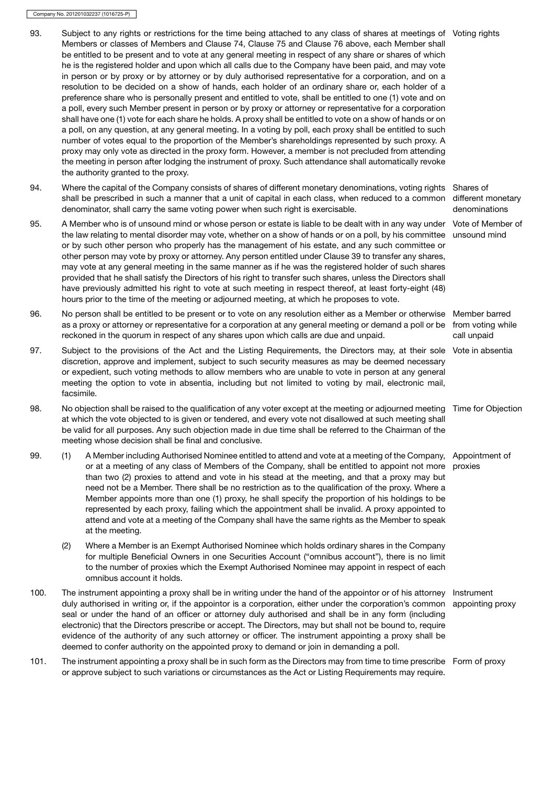- 93. Subject to any rights or restrictions for the time being attached to any class of shares at meetings of Voting rights Members or classes of Members and Clause 74, Clause 75 and Clause 76 above, each Member shall be entitled to be present and to vote at any general meeting in respect of any share or shares of which he is the registered holder and upon which all calls due to the Company have been paid, and may vote in person or by proxy or by attorney or by duly authorised representative for a corporation, and on a resolution to be decided on a show of hands, each holder of an ordinary share or, each holder of a preference share who is personally present and entitled to vote, shall be entitled to one (1) vote and on a poll, every such Member present in person or by proxy or attorney or representative for a corporation shall have one (1) vote for each share he holds. A proxy shall be entitled to vote on a show of hands or on a poll, on any question, at any general meeting. In a voting by poll, each proxy shall be entitled to such number of votes equal to the proportion of the Member's shareholdings represented by such proxy. A proxy may only vote as directed in the proxy form. However, a member is not precluded from attending the meeting in person after lodging the instrument of proxy. Such attendance shall automatically revoke the authority granted to the proxy. 94. Where the capital of the Company consists of shares of different monetary denominations, voting rights Shares of shall be prescribed in such a manner that a unit of capital in each class, when reduced to a common denominator, shall carry the same voting power when such right is exercisable. different monetary denominations 95. A Member who is of unsound mind or whose person or estate is liable to be dealt with in any way under Vote of Member of the law relating to mental disorder may vote, whether on a show of hands or on a poll, by his committee or by such other person who properly has the management of his estate, and any such committee or other person may vote by proxy or attorney. Any person entitled under Clause 39 to transfer any shares, may vote at any general meeting in the same manner as if he was the registered holder of such shares provided that he shall satisfy the Directors of his right to transfer such shares, unless the Directors shall have previously admitted his right to vote at such meeting in respect thereof, at least forty-eight (48) hours prior to the time of the meeting or adjourned meeting, at which he proposes to vote. unsound mind 96. No person shall be entitled to be present or to vote on any resolution either as a Member or otherwise as a proxy or attorney or representative for a corporation at any general meeting or demand a poll or be reckoned in the quorum in respect of any shares upon which calls are due and unpaid. Member barred from voting while call unpaid 97. Subject to the provisions of the Act and the Listing Requirements, the Directors may, at their sole Vote in absentia discretion, approve and implement, subject to such security measures as may be deemed necessary or expedient, such voting methods to allow members who are unable to vote in person at any general meeting the option to vote in absentia, including but not limited to voting by mail, electronic mail, facsimile. 98. No objection shall be raised to the qualification of any voter except at the meeting or adjourned meeting Time for Objection at which the vote objected to is given or tendered, and every vote not disallowed at such meeting shall be valid for all purposes. Any such objection made in due time shall be referred to the Chairman of the meeting whose decision shall be final and conclusive. 99. (1) A Member including Authorised Nominee entitled to attend and vote at a meeting of the Company, Appointment of or at a meeting of any class of Members of the Company, shall be entitled to appoint not more proxies than two (2) proxies to attend and vote in his stead at the meeting, and that a proxy may but need not be a Member. There shall be no restriction as to the qualification of the proxy. Where a Member appoints more than one (1) proxy, he shall specify the proportion of his holdings to be represented by each proxy, failing which the appointment shall be invalid. A proxy appointed to attend and vote at a meeting of the Company shall have the same rights as the Member to speak at the meeting. (2) Where a Member is an Exempt Authorised Nominee which holds ordinary shares in the Company for multiple Beneficial Owners in one Securities Account ("omnibus account"), there is no limit to the number of proxies which the Exempt Authorised Nominee may appoint in respect of each omnibus account it holds. 100. The instrument appointing a proxy shall be in writing under the hand of the appointor or of his attorney duly authorised in writing or, if the appointor is a corporation, either under the corporation's common appointing proxy seal or under the hand of an officer or attorney duly authorised and shall be in any form (including Instrument
- electronic) that the Directors prescribe or accept. The Directors, may but shall not be bound to, require evidence of the authority of any such attorney or officer. The instrument appointing a proxy shall be deemed to confer authority on the appointed proxy to demand or join in demanding a poll.
- 101. The instrument appointing a proxy shall be in such form as the Directors may from time to time prescribe Form of proxyor approve subject to such variations or circumstances as the Act or Listing Requirements may require.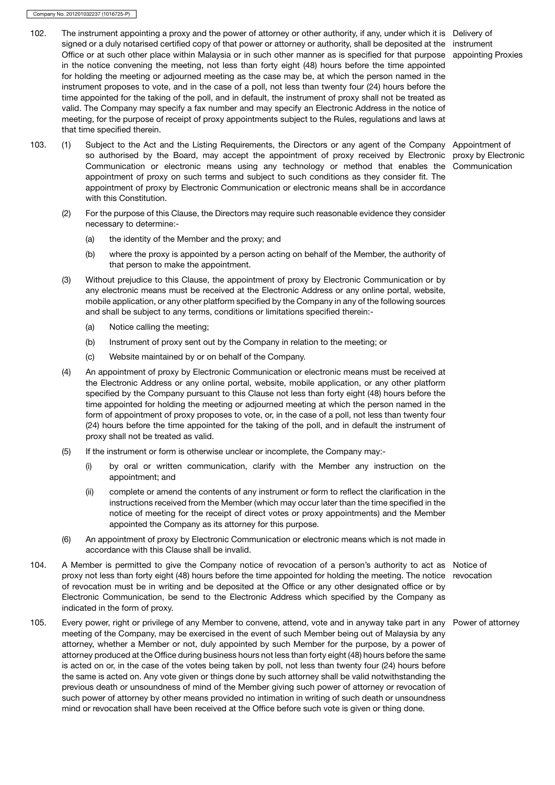- 102. The instrument appointing a proxy and the power of attorney or other authority, if any, under which it is Delivery of signed or a duly notarised certified copy of that power or attorney or authority, shall be deposited at the instrument Office or at such other place within Malaysia or in such other manner as is specified for that purpose appointing Proxies in the notice convening the meeting, not less than forty eight (48) hours before the time appointed for holding the meeting or adjourned meeting as the case may be, at which the person named in the instrument proposes to vote, and in the case of a poll, not less than twenty four (24) hours before the time appointed for the taking of the poll, and in default, the instrument of proxy shall not be treated as valid. The Company may specify a fax number and may specify an Electronic Address in the notice of meeting, for the purpose of receipt of proxy appointments subject to the Rules, regulations and laws at that time specified therein.
- 103. (1) Subject to the Act and the Listing Requirements, the Directors or any agent of the Company Appointment of so authorised by the Board, may accept the appointment of proxy received by Electronic Communication or electronic means using any technology or method that enables the appointment of proxy on such terms and subject to such conditions as they consider fit. The appointment of proxy by Electronic Communication or electronic means shall be in accordance with this Constitution.
	- (2) For the purpose of this Clause, the Directors may require such reasonable evidence they consider necessary to determine:-
		- (a) the identity of the Member and the proxy; and
		- (b) where the proxy is appointed by a person acting on behalf of the Member, the authority of that person to make the appointment.
	- (3) Without prejudice to this Clause, the appointment of proxy by Electronic Communication or by any electronic means must be received at the Electronic Address or any online portal, website, mobile application, or any other platform specified by the Company in any of the following sources and shall be subject to any terms, conditions or limitations specified therein:-
		- (a) Notice calling the meeting;
		- (b) Instrument of proxy sent out by the Company in relation to the meeting; or
		- (c) Website maintained by or on behalf of the Company.
	- (4) An appointment of proxy by Electronic Communication or electronic means must be received at the Electronic Address or any online portal, website, mobile application, or any other platform specified by the Company pursuant to this Clause not less than forty eight (48) hours before the time appointed for holding the meeting or adjourned meeting at which the person named in the form of appointment of proxy proposes to vote, or, in the case of a poll, not less than twenty four (24) hours before the time appointed for the taking of the poll, and in default the instrument of proxy shall not be treated as valid.
	- (5) If the instrument or form is otherwise unclear or incomplete, the Company may:-
		- (i) by oral or written communication, clarify with the Member any instruction on the appointment; and
		- (ii) complete or amend the contents of any instrument or form to reflect the clarification in the instructions received from the Member (which may occur later than the time specified in the notice of meeting for the receipt of direct votes or proxy appointments) and the Member appointed the Company as its attorney for this purpose.
	- (6) An appointment of proxy by Electronic Communication or electronic means which is not made in accordance with this Clause shall be invalid.
- 104. A Member is permitted to give the Company notice of revocation of a person's authority to act as Notice of proxy not less than forty eight (48) hours before the time appointed for holding the meeting. The notice revocation of revocation must be in writing and be deposited at the Office or any other designated office or by Electronic Communication, be send to the Electronic Address which specified by the Company as indicated in the form of proxy.
- 105. Every power, right or privilege of any Member to convene, attend, vote and in anyway take part in any Power of attorneymeeting of the Company, may be exercised in the event of such Member being out of Malaysia by any attorney, whether a Member or not, duly appointed by such Member for the purpose, by a power of attorney produced at the Office during business hours not less than forty eight (48) hours before the same is acted on or, in the case of the votes being taken by poll, not less than twenty four (24) hours before the same is acted on. Any vote given or things done by such attorney shall be valid notwithstanding the previous death or unsoundness of mind of the Member giving such power of attorney or revocation of such power of attorney by other means provided no intimation in writing of such death or unsoundness mind or revocation shall have been received at the Office before such vote is given or thing done.

proxy by Electronic Communication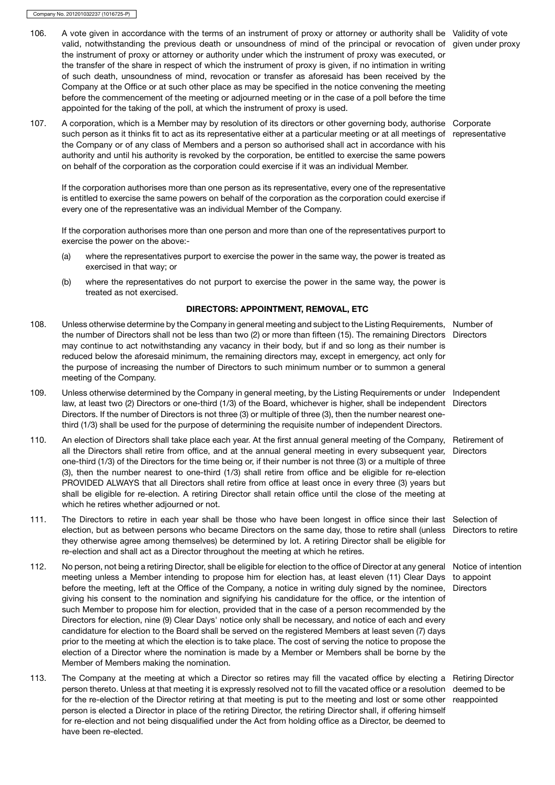- 106. A vote given in accordance with the terms of an instrument of proxy or attorney or authority shall be Validity of vote valid, notwithstanding the previous death or unsoundness of mind of the principal or revocation of given under proxy the instrument of proxy or attorney or authority under which the instrument of proxy was executed, or the transfer of the share in respect of which the instrument of proxy is given, if no intimation in writing of such death, unsoundness of mind, revocation or transfer as aforesaid has been received by the Company at the Office or at such other place as may be specified in the notice convening the meeting before the commencement of the meeting or adjourned meeting or in the case of a poll before the time appointed for the taking of the poll, at which the instrument of proxy is used.
- 107. A corporation, which is a Member may by resolution of its directors or other governing body, authorise Corporate such person as it thinks fit to act as its representative either at a particular meeting or at all meetings of the Company or of any class of Members and a person so authorised shall act in accordance with his authority and until his authority is revoked by the corporation, be entitled to exercise the same powers on behalf of the corporation as the corporation could exercise if it was an individual Member.

If the corporation authorises more than one person as its representative, every one of the representative is entitled to exercise the same powers on behalf of the corporation as the corporation could exercise if every one of the representative was an individual Member of the Company.

If the corporation authorises more than one person and more than one of the representatives purport to exercise the power on the above:-

- (a) where the representatives purport to exercise the power in the same way, the power is treated as exercised in that way; or
- (b) where the representatives do not purport to exercise the power in the same way, the power is treated as not exercised.

# DIRECTORS: APPOINTMENT, REMOVAL, ETC

- 108. Unless otherwise determine by the Company in general meeting and subject to the Listing Requirements, Number of the number of Directors shall not be less than two (2) or more than fifteen (15). The remaining Directors Directors may continue to act notwithstanding any vacancy in their body, but if and so long as their number is reduced below the aforesaid minimum, the remaining directors may, except in emergency, act only for the purpose of increasing the number of Directors to such minimum number or to summon a general meeting of the Company.
- 109. Unless otherwise determined by the Company in general meeting, by the Listing Requirements or under Independent law, at least two (2) Directors or one-third (1/3) of the Board, whichever is higher, shall be independent Directors Directors. If the number of Directors is not three (3) or multiple of three (3), then the number nearest onethird (1/3) shall be used for the purpose of determining the requisite number of independent Directors.
- 110. An election of Directors shall take place each year. At the first annual general meeting of the Company, Retirement of all the Directors shall retire from office, and at the annual general meeting in every subsequent year, Directors one-third (1/3) of the Directors for the time being or, if their number is not three (3) or a multiple of three (3), then the number nearest to one-third (1/3) shall retire from office and be eligible for re-election PROVIDED ALWAYS that all Directors shall retire from office at least once in every three (3) years but shall be eligible for re-election. A retiring Director shall retain office until the close of the meeting at which he retires whether adjourned or not.
- 111. The Directors to retire in each year shall be those who have been longest in office since their last Selection of election, but as between persons who became Directors on the same day, those to retire shall (unless Directors to retire they otherwise agree among themselves) be determined by lot. A retiring Director shall be eligible for re-election and shall act as a Director throughout the meeting at which he retires.
- 112. No person, not being a retiring Director, shall be eligible for election to the office of Director at any general Notice of intention meeting unless a Member intending to propose him for election has, at least eleven (11) Clear Days to appoint before the meeting, left at the Office of the Company, a notice in writing duly signed by the nominee, Directors giving his consent to the nomination and signifying his candidature for the office, or the intention of such Member to propose him for election, provided that in the case of a person recommended by the Directors for election, nine (9) Clear Days' notice only shall be necessary, and notice of each and every candidature for election to the Board shall be served on the registered Members at least seven (7) days prior to the meeting at which the election is to take place. The cost of serving the notice to propose the election of a Director where the nomination is made by a Member or Members shall be borne by the Member of Members making the nomination.
- 113. The Company at the meeting at which a Director so retires may fill the vacated office by electing a Retiring Director person thereto. Unless at that meeting it is expressly resolved not to fill the vacated office or a resolution deemed to be for the re-election of the Director retiring at that meeting is put to the meeting and lost or some other reappointedperson is elected a Director in place of the retiring Director, the retiring Director shall, if offering himself for re-election and not being disqualified under the Act from holding office as a Director, be deemed to have been re-elected.

representative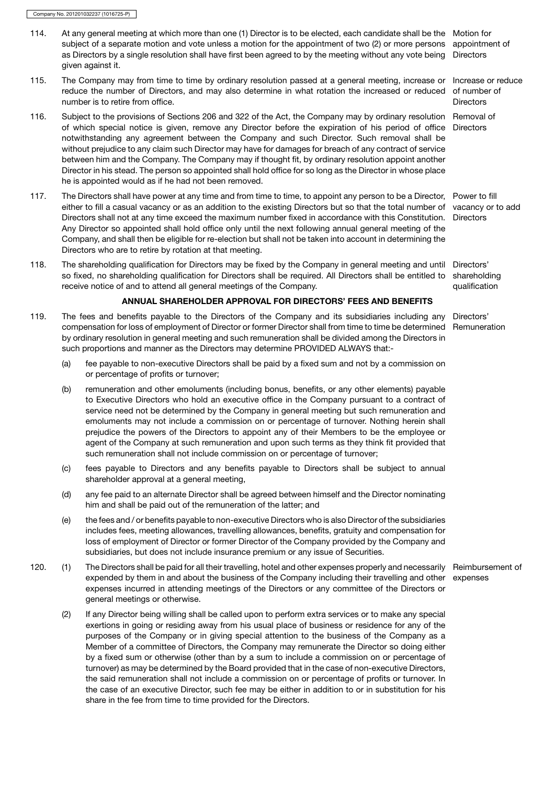- 114. At any general meeting at which more than one (1) Director is to be elected, each candidate shall be the Motion for subject of a separate motion and vote unless a motion for the appointment of two (2) or more persons appointment of as Directors by a single resolution shall have first been agreed to by the meeting without any vote being Directors given against it.
- 115. The Company may from time to time by ordinary resolution passed at a general meeting, increase or Increase or reduce reduce the number of Directors, and may also determine in what rotation the increased or reduced number is to retire from office.
- 116. Subject to the provisions of Sections 206 and 322 of the Act, the Company may by ordinary resolution Removal of of which special notice is given, remove any Director before the expiration of his period of office Directors notwithstanding any agreement between the Company and such Director. Such removal shall be without prejudice to any claim such Director may have for damages for breach of any contract of service between him and the Company. The Company may if thought fit, by ordinary resolution appoint another Director in his stead. The person so appointed shall hold office for so long as the Director in whose place he is appointed would as if he had not been removed.
- 117. The Directors shall have power at any time and from time to time, to appoint any person to be a Director, Power to fill either to fill a casual vacancy or as an addition to the existing Directors but so that the total number of vacancy or to add Directors shall not at any time exceed the maximum number fixed in accordance with this Constitution. Directors Any Director so appointed shall hold office only until the next following annual general meeting of the Company, and shall then be eligible for re-election but shall not be taken into account in determining the Directors who are to retire by rotation at that meeting.
- 118. The shareholding qualification for Directors may be fixed by the Company in general meeting and until Directors' so fixed, no shareholding qualification for Directors shall be required. All Directors shall be entitled to receive notice of and to attend all general meetings of the Company.

# ANNUAL SHAREHOLDER APPROVAL FOR DIRECTORS' FEES AND BENEFITS

- 119. The fees and benefits payable to the Directors of the Company and its subsidiaries including any Directors' compensation for loss of employment of Director or former Director shall from time to time be determined Remuneration by ordinary resolution in general meeting and such remuneration shall be divided among the Directors in such proportions and manner as the Directors may determine PROVIDED ALWAYS that:-
	- (a) fee payable to non-executive Directors shall be paid by a fixed sum and not by a commission on or percentage of profits or turnover;
	- (b) remuneration and other emoluments (including bonus, benefits, or any other elements) payable to Executive Directors who hold an executive office in the Company pursuant to a contract of service need not be determined by the Company in general meeting but such remuneration and emoluments may not include a commission on or percentage of turnover. Nothing herein shall prejudice the powers of the Directors to appoint any of their Members to be the employee or agent of the Company at such remuneration and upon such terms as they think fit provided that such remuneration shall not include commission on or percentage of turnover;
	- (c) fees payable to Directors and any benefits payable to Directors shall be subject to annual shareholder approval at a general meeting,
	- (d) any fee paid to an alternate Director shall be agreed between himself and the Director nominating him and shall be paid out of the remuneration of the latter; and
	- (e) the fees and / or benefits payable to non-executive Directors who is also Director of the subsidiaries includes fees, meeting allowances, travelling allowances, benefits, gratuity and compensation for loss of employment of Director or former Director of the Company provided by the Company and subsidiaries, but does not include insurance premium or any issue of Securities.
- 120. (1) The Directors shall be paid for all their travelling, hotel and other expenses properly and necessarily Reimbursement of expended by them in and about the business of the Company including their travelling and other expenses expenses incurred in attending meetings of the Directors or any committee of the Directors or general meetings or otherwise.
	- (2) If any Director being willing shall be called upon to perform extra services or to make any special exertions in going or residing away from his usual place of business or residence for any of the purposes of the Company or in giving special attention to the business of the Company as a Member of a committee of Directors, the Company may remunerate the Director so doing either by a fixed sum or otherwise (other than by a sum to include a commission on or percentage of turnover) as may be determined by the Board provided that in the case of non-executive Directors, the said remuneration shall not include a commission on or percentage of profits or turnover. In the case of an executive Director, such fee may be either in addition to or in substitution for his share in the fee from time to time provided for the Directors.

of number of **Directors** 

shareholding qualification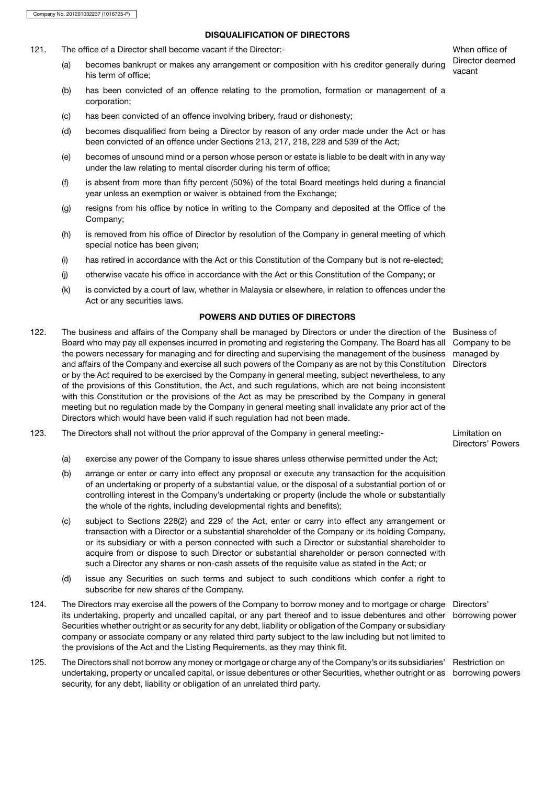# DISQUALIFICATION OF DIRECTORS

- 121. The office of a Director shall become vacant if the Director:- When office of
	- (a) becomes bankrupt or makes any arrangement or composition with his creditor generally during uncant his term of office;
	- (b) has been convicted of an offence relating to the promotion, formation or management of a corporation;
	- (c) has been convicted of an offence involving bribery, fraud or dishonesty;
	- (d) becomes disqualified from being a Director by reason of any order made under the Act or has been convicted of an offence under Sections 213, 217, 218, 228 and 539 of the Act;
	- (e) becomes of unsound mind or a person whose person or estate is liable to be dealt with in any way under the law relating to mental disorder during his term of office;
	- (f) is absent from more than fifty percent (50%) of the total Board meetings held during a financial year unless an exemption or waiver is obtained from the Exchange;
	- (g) resigns from his office by notice in writing to the Company and deposited at the Office of the Company;
	- (h) is removed from his office of Director by resolution of the Company in general meeting of which special notice has been given;
	- (i) has retired in accordance with the Act or this Constitution of the Company but is not re-elected;
	- (j) otherwise vacate his office in accordance with the Act or this Constitution of the Company; or
	- (k) is convicted by a court of law, whether in Malaysia or elsewhere, in relation to offences under the Act or any securities laws.

# POWERS AND DUTIES OF DIRECTORS

- 122. The business and affairs of the Company shall be managed by Directors or under the direction of the Business of Board who may pay all expenses incurred in promoting and registering the Company. The Board has all Company to be the powers necessary for managing and for directing and supervising the management of the business managed by and affairs of the Company and exercise all such powers of the Company as are not by this Constitution Directors or by the Act required to be exercised by the Company in general meeting, subject nevertheless, to any of the provisions of this Constitution, the Act, and such regulations, which are not being inconsistent with this Constitution or the provisions of the Act as may be prescribed by the Company in general meeting but no regulation made by the Company in general meeting shall invalidate any prior act of the Directors which would have been valid if such regulation had not been made.
- 123. The Directors shall not without the prior approval of the Company in general meeting:- Limitation on
	- (a) exercise any power of the Company to issue shares unless otherwise permitted under the Act;
	- (b) arrange or enter or carry into effect any proposal or execute any transaction for the acquisition of an undertaking or property of a substantial value, or the disposal of a substantial portion of or controlling interest in the Company's undertaking or property (include the whole or substantially the whole of the rights, including developmental rights and benefits);
	- (c) subject to Sections 228(2) and 229 of the Act, enter or carry into effect any arrangement or transaction with a Director or a substantial shareholder of the Company or its holding Company, or its subsidiary or with a person connected with such a Director or substantial shareholder to acquire from or dispose to such Director or substantial shareholder or person connected with such a Director any shares or non-cash assets of the requisite value as stated in the Act; or
	- (d) issue any Securities on such terms and subject to such conditions which confer a right to subscribe for new shares of the Company.
- 124. The Directors may exercise all the powers of the Company to borrow money and to mortgage or charge Directors' its undertaking, property and uncalled capital, or any part thereof and to issue debentures and other borrowing power Securities whether outright or as security for any debt, liability or obligation of the Company or subsidiary company or associate company or any related third party subject to the law including but not limited to the provisions of the Act and the Listing Requirements, as they may think fit.
- 125. The Directors shall not borrow any money or mortgage or charge any of the Company's or its subsidiaries' Restriction on undertaking, property or uncalled capital, or issue debentures or other Securities, whether outright or as borrowing powerssecurity, for any debt, liability or obligation of an unrelated third party.

Director deemed

Directors' Powers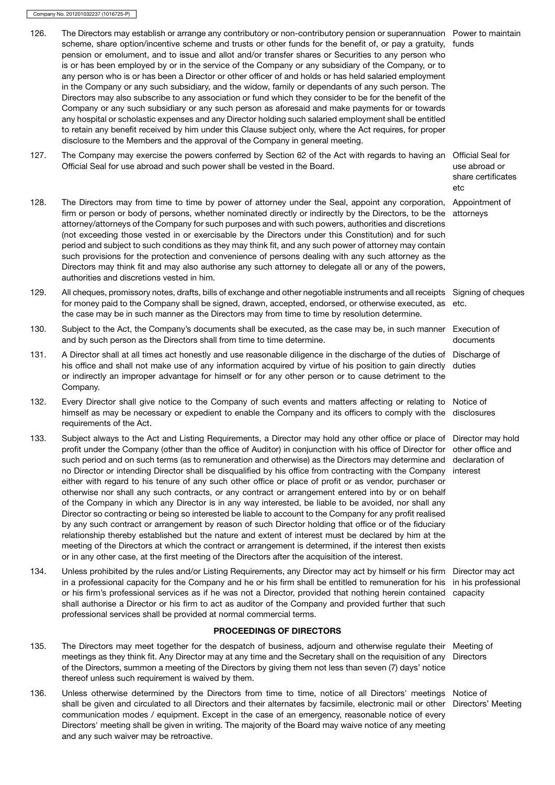126. The Directors may establish or arrange any contributory or non-contributory pension or superannuation Power to maintain scheme, share option/incentive scheme and trusts or other funds for the benefit of, or pay a gratuity, funds pension or emolument, and to issue and allot and/or transfer shares or Securities to any person who is or has been employed by or in the service of the Company or any subsidiary of the Company, or to any person who is or has been a Director or other officer of and holds or has held salaried employment in the Company or any such subsidiary, and the widow, family or dependants of any such person. The Directors may also subscribe to any association or fund which they consider to be for the benefit of the Company or any such subsidiary or any such person as aforesaid and make payments for or towards any hospital or scholastic expenses and any Director holding such salaried employment shall be entitled to retain any benefit received by him under this Clause subject only, where the Act requires, for proper disclosure to the Members and the approval of the Company in general meeting. 127. The Company may exercise the powers conferred by Section 62 of the Act with regards to having an Official Seal for Official Seal for use abroad and such power shall be vested in the Board. use abroad or share certificates etc

- 128. The Directors may from time to time by power of attorney under the Seal, appoint any corporation, Appointment of firm or person or body of persons, whether nominated directly or indirectly by the Directors, to be the attorney/attorneys of the Company for such purposes and with such powers, authorities and discretions (not exceeding those vested in or exercisable by the Directors under this Constitution) and for such period and subject to such conditions as they may think fit, and any such power of attorney may contain such provisions for the protection and convenience of persons dealing with any such attorney as the Directors may think fit and may also authorise any such attorney to delegate all or any of the powers, authorities and discretions vested in him. attorneys
- 129. All cheques, promissory notes, drafts, bills of exchange and other negotiable instruments and all receipts Signing of cheques for money paid to the Company shall be signed, drawn, accepted, endorsed, or otherwise executed, as the case may be in such manner as the Directors may from time to time by resolution determine. etc.
- 130. Subject to the Act, the Company's documents shall be executed, as the case may be, in such manner Execution of and by such person as the Directors shall from time to time determine.
- 131. A Director shall at all times act honestly and use reasonable diligence in the discharge of the duties of Discharge of his office and shall not make use of any information acquired by virtue of his position to gain directly or indirectly an improper advantage for himself or for any other person or to cause detriment to the Company.
- 132. Every Director shall give notice to the Company of such events and matters affecting or relating to Notice of himself as may be necessary or expedient to enable the Company and its officers to comply with the requirements of the Act.
- 133. Subject always to the Act and Listing Requirements, a Director may hold any other office or place of profit under the Company (other than the office of Auditor) in conjunction with his office of Director for such period and on such terms (as to remuneration and otherwise) as the Directors may determine and no Director or intending Director shall be disqualified by his office from contracting with the Company either with regard to his tenure of any such other office or place of profit or as vendor, purchaser or otherwise nor shall any such contracts, or any contract or arrangement entered into by or on behalf of the Company in which any Director is in any way interested, be liable to be avoided, nor shall any Director so contracting or being so interested be liable to account to the Company for any profit realised by any such contract or arrangement by reason of such Director holding that office or of the fiduciary relationship thereby established but the nature and extent of interest must be declared by him at the meeting of the Directors at which the contract or arrangement is determined, if the interest then exists or in any other case, at the first meeting of the Directors after the acquisition of the interest.
- 134. Unless prohibited by the rules and/or Listing Requirements, any Director may act by himself or his firm Director may act in a professional capacity for the Company and he or his firm shall be entitled to remuneration for his in his professional or his firm's professional services as if he was not a Director, provided that nothing herein contained shall authorise a Director or his firm to act as auditor of the Company and provided further that such professional services shall be provided at normal commercial terms.

# PROCEEDINGS OF DIRECTORS

- 135. The Directors may meet together for the despatch of business, adjourn and otherwise regulate their meetings as they think fit. Any Director may at any time and the Secretary shall on the requisition of any of the Directors, summon a meeting of the Directors by giving them not less than seven (7) days' notice thereof unless such requirement is waived by them.
- 136. Unless otherwise determined by the Directors from time to time, notice of all Directors' meetings Notice of shall be given and circulated to all Directors and their alternates by facsimile, electronic mail or other Directors' Meetingcommunication modes / equipment. Except in the case of an emergency, reasonable notice of every Directors' meeting shall be given in writing. The majority of the Board may waive notice of any meeting and any such waiver may be retroactive.

documents

duties

disclosures

Director may hold other office and declaration of interest

capacity

Meeting of **Directors**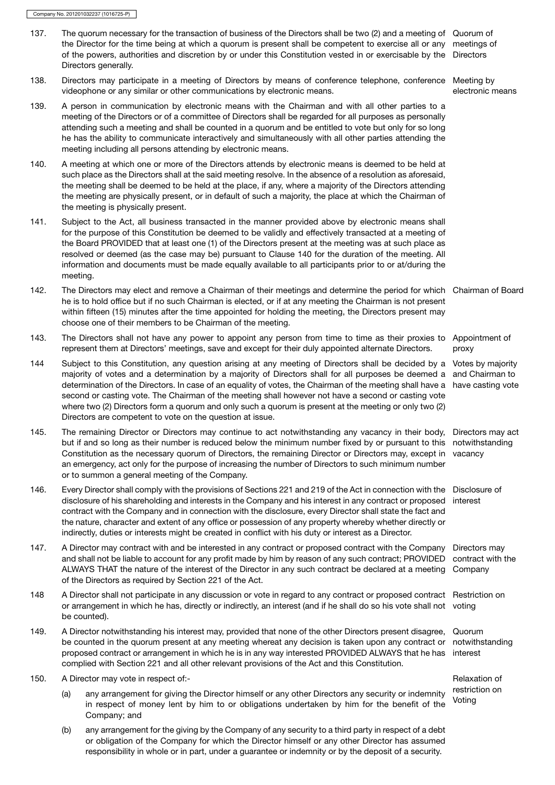- 137. The quorum necessary for the transaction of business of the Directors shall be two (2) and a meeting of Quorum of the Director for the time being at which a quorum is present shall be competent to exercise all or any meetings of of the powers, authorities and discretion by or under this Constitution vested in or exercisable by the Directors Directors generally.
- 138. Directors may participate in a meeting of Directors by means of conference telephone, conference Meeting by videophone or any similar or other communications by electronic means.

electronic means

- 139. A person in communication by electronic means with the Chairman and with all other parties to a meeting of the Directors or of a committee of Directors shall be regarded for all purposes as personally attending such a meeting and shall be counted in a quorum and be entitled to vote but only for so long he has the ability to communicate interactively and simultaneously with all other parties attending the meeting including all persons attending by electronic means.
- 140. A meeting at which one or more of the Directors attends by electronic means is deemed to be held at such place as the Directors shall at the said meeting resolve. In the absence of a resolution as aforesaid, the meeting shall be deemed to be held at the place, if any, where a majority of the Directors attending the meeting are physically present, or in default of such a majority, the place at which the Chairman of the meeting is physically present.
- 141. Subject to the Act, all business transacted in the manner provided above by electronic means shall for the purpose of this Constitution be deemed to be validly and effectively transacted at a meeting of the Board PROVIDED that at least one (1) of the Directors present at the meeting was at such place as resolved or deemed (as the case may be) pursuant to Clause 140 for the duration of the meeting. All information and documents must be made equally available to all participants prior to or at/during the meeting.
- 142. The Directors may elect and remove a Chairman of their meetings and determine the period for which Chairman of Board he is to hold office but if no such Chairman is elected, or if at any meeting the Chairman is not present within fifteen (15) minutes after the time appointed for holding the meeting, the Directors present may choose one of their members to be Chairman of the meeting.
- 143. The Directors shall not have any power to appoint any person from time to time as their proxies to Appointment of represent them at Directors' meetings, save and except for their duly appointed alternate Directors. proxy
- 144 Subject to this Constitution, any question arising at any meeting of Directors shall be decided by a Votes by majority majority of votes and a determination by a majority of Directors shall for all purposes be deemed a and Chairman to determination of the Directors. In case of an equality of votes, the Chairman of the meeting shall have a have casting vote second or casting vote. The Chairman of the meeting shall however not have a second or casting vote where two (2) Directors form a quorum and only such a quorum is present at the meeting or only two (2) Directors are competent to vote on the question at issue.
- 145. The remaining Director or Directors may continue to act notwithstanding any vacancy in their body, Directors may act but if and so long as their number is reduced below the minimum number fixed by or pursuant to this notwithstanding Constitution as the necessary quorum of Directors, the remaining Director or Directors may, except in an emergency, act only for the purpose of increasing the number of Directors to such minimum number or to summon a general meeting of the Company. vacancy
- 146. Every Director shall comply with the provisions of Sections 221 and 219 of the Act in connection with the Disclosure of disclosure of his shareholding and interests in the Company and his interest in any contract or proposed contract with the Company and in connection with the disclosure, every Director shall state the fact and the nature, character and extent of any office or possession of any property whereby whether directly or indirectly, duties or interests might be created in conflict with his duty or interest as a Director. interest
- 147. A Director may contract with and be interested in any contract or proposed contract with the Company Directors may and shall not be liable to account for any profit made by him by reason of any such contract; PROVIDED ALWAYS THAT the nature of the interest of the Director in any such contract be declared at a meeting Company of the Directors as required by Section 221 of the Act. contract with the
- 148 A Director shall not participate in any discussion or vote in regard to any contract or proposed contract Restriction on or arrangement in which he has, directly or indirectly, an interest (and if he shall do so his vote shall not voting be counted).
- 149. A Director notwithstanding his interest may, provided that none of the other Directors present disagree, be counted in the quorum present at any meeting whereat any decision is taken upon any contract or notwithstanding proposed contract or arrangement in which he is in any way interested PROVIDED ALWAYS that he has complied with Section 221 and all other relevant provisions of the Act and this Constitution. Quorum interest
- 150. A Director may vote in respect of:- **Relaxation of a set of the set of the set of the set of the set of the set of the set of the set of the set of the set of the set of the set of the set of the set of the set of the** 
	- (a) any arrangement for giving the Director himself or any other Directors any security or indemnity less in the strategy of the strategy is a security of the strategy of the strategy in the strategy of the strategy in the in respect of money lent by him to or obligations undertaken by him for the benefit of the Company; and
	- (b) any arrangement for the giving by the Company of any security to a third party in respect of a debt or obligation of the Company for which the Director himself or any other Director has assumed responsibility in whole or in part, under a guarantee or indemnity or by the deposit of a security.

restriction on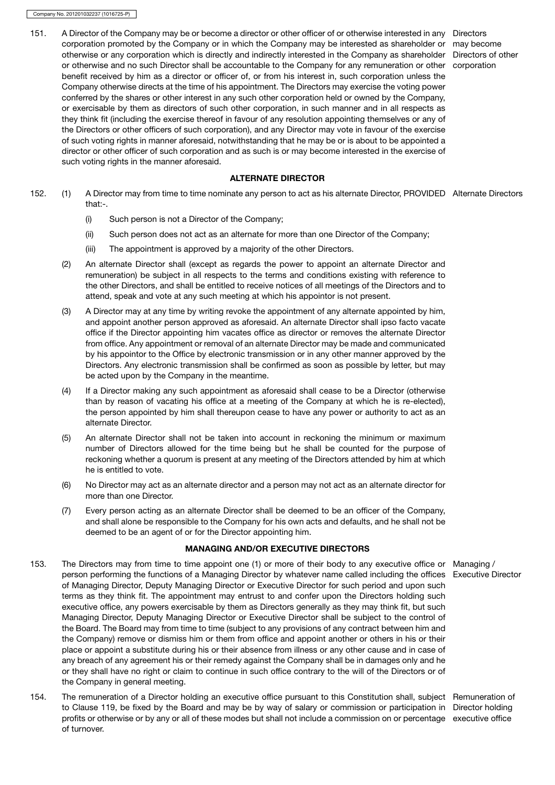151. A Director of the Company may be or become a director or other officer of or otherwise interested in any Directors corporation promoted by the Company or in which the Company may be interested as shareholder or may become otherwise or any corporation which is directly and indirectly interested in the Company as shareholder Directors of other or otherwise and no such Director shall be accountable to the Company for any remuneration or other corporation benefit received by him as a director or officer of, or from his interest in, such corporation unless the Company otherwise directs at the time of his appointment. The Directors may exercise the voting power conferred by the shares or other interest in any such other corporation held or owned by the Company, or exercisable by them as directors of such other corporation, in such manner and in all respects as they think fit (including the exercise thereof in favour of any resolution appointing themselves or any of the Directors or other officers of such corporation), and any Director may vote in favour of the exercise of such voting rights in manner aforesaid, notwithstanding that he may be or is about to be appointed a director or other officer of such corporation and as such is or may become interested in the exercise of such voting rights in the manner aforesaid.

ALTERNATE DIRECTOR

- 152. (1) A Director may from time to time nominate any person to act as his alternate Director, PROVIDED Alternate Directors that:-.
	- (i) Such person is not a Director of the Company;
	- (ii) Such person does not act as an alternate for more than one Director of the Company;
	- (iii) The appointment is approved by a majority of the other Directors.
	- (2) An alternate Director shall (except as regards the power to appoint an alternate Director and remuneration) be subject in all respects to the terms and conditions existing with reference to the other Directors, and shall be entitled to receive notices of all meetings of the Directors and to attend, speak and vote at any such meeting at which his appointor is not present.
	- (3) A Director may at any time by writing revoke the appointment of any alternate appointed by him, and appoint another person approved as aforesaid. An alternate Director shall ipso facto vacate office if the Director appointing him vacates office as director or removes the alternate Director from office. Any appointment or removal of an alternate Director may be made and communicated by his appointor to the Office by electronic transmission or in any other manner approved by the Directors. Any electronic transmission shall be confirmed as soon as possible by letter, but may be acted upon by the Company in the meantime.
	- (4) If a Director making any such appointment as aforesaid shall cease to be a Director (otherwise than by reason of vacating his office at a meeting of the Company at which he is re-elected), the person appointed by him shall thereupon cease to have any power or authority to act as an alternate Director.
	- (5) An alternate Director shall not be taken into account in reckoning the minimum or maximum number of Directors allowed for the time being but he shall be counted for the purpose of reckoning whether a quorum is present at any meeting of the Directors attended by him at which he is entitled to vote.
	- (6) No Director may act as an alternate director and a person may not act as an alternate director for more than one Director.
	- (7) Every person acting as an alternate Director shall be deemed to be an officer of the Company, and shall alone be responsible to the Company for his own acts and defaults, and he shall not be deemed to be an agent of or for the Director appointing him.

#### MANAGING AND/OR EXECUTIVE DIRECTORS

- 153. The Directors may from time to time appoint one (1) or more of their body to any executive office or Managing / person performing the functions of a Managing Director by whatever name called including the offices Executive Director of Managing Director, Deputy Managing Director or Executive Director for such period and upon such terms as they think fit. The appointment may entrust to and confer upon the Directors holding such executive office, any powers exercisable by them as Directors generally as they may think fit, but such Managing Director, Deputy Managing Director or Executive Director shall be subject to the control of the Board. The Board may from time to time (subject to any provisions of any contract between him and the Company) remove or dismiss him or them from office and appoint another or others in his or their place or appoint a substitute during his or their absence from illness or any other cause and in case of any breach of any agreement his or their remedy against the Company shall be in damages only and he or they shall have no right or claim to continue in such office contrary to the will of the Directors or of the Company in general meeting.
- 154. The remuneration of a Director holding an executive office pursuant to this Constitution shall, subject Remuneration of to Clause 119, be fixed by the Board and may be by way of salary or commission or participation in Director holding profits or otherwise or by any or all of these modes but shall not include a commission on or percentage executive officeof turnover.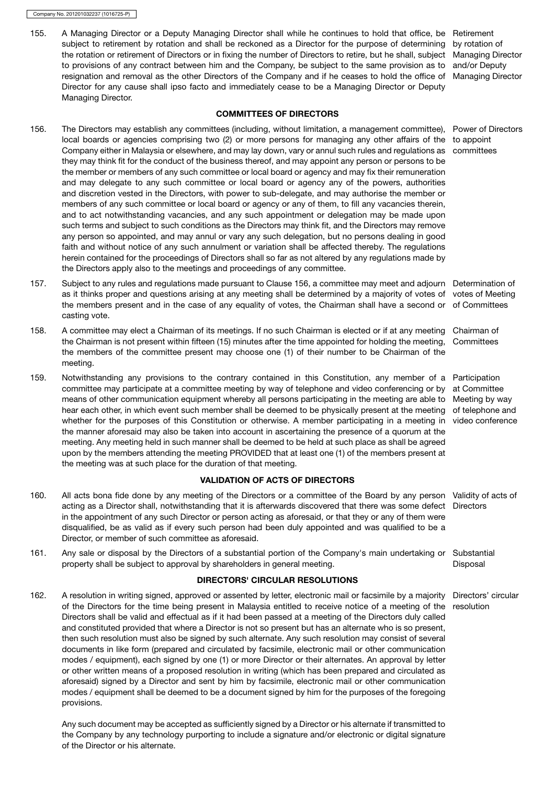155. A Managing Director or a Deputy Managing Director shall while he continues to hold that office, be Retirement subject to retirement by rotation and shall be reckoned as a Director for the purpose of determining by rotation of the rotation or retirement of Directors or in fixing the number of Directors to retire, but he shall, subject to provisions of any contract between him and the Company, be subject to the same provision as to resignation and removal as the other Directors of the Company and if he ceases to hold the office of Director for any cause shall ipso facto and immediately cease to be a Managing Director or Deputy Managing Director.

Managing Director and/or Deputy Managing Director

# COMMITTEES OF DIRECTORS

- 156. The Directors may establish any committees (including, without limitation, a management committee), Power of Directors local boards or agencies comprising two (2) or more persons for managing any other affairs of the to appoint Company either in Malaysia or elsewhere, and may lay down, vary or annul such rules and regulations as they may think fit for the conduct of the business thereof, and may appoint any person or persons to be the member or members of any such committee or local board or agency and may fix their remuneration and may delegate to any such committee or local board or agency any of the powers, authorities and discretion vested in the Directors, with power to sub-delegate, and may authorise the member or members of any such committee or local board or agency or any of them, to fill any vacancies therein, and to act notwithstanding vacancies, and any such appointment or delegation may be made upon such terms and subject to such conditions as the Directors may think fit, and the Directors may remove any person so appointed, and may annul or vary any such delegation, but no persons dealing in good faith and without notice of any such annulment or variation shall be affected thereby. The regulations herein contained for the proceedings of Directors shall so far as not altered by any regulations made by the Directors apply also to the meetings and proceedings of any committee.
- 157. Subject to any rules and regulations made pursuant to Clause 156, a committee may meet and adjourn Determination of as it thinks proper and questions arising at any meeting shall be determined by a majority of votes of votes of Meeting the members present and in the case of any equality of votes, the Chairman shall have a second or of Committees casting vote.
- 158. A committee may elect a Chairman of its meetings. If no such Chairman is elected or if at any meeting Chairman of the Chairman is not present within fifteen (15) minutes after the time appointed for holding the meeting, Committees the members of the committee present may choose one (1) of their number to be Chairman of the meeting.
- 159. Notwithstanding any provisions to the contrary contained in this Constitution, any member of a Participation committee may participate at a committee meeting by way of telephone and video conferencing or by at Committee means of other communication equipment whereby all persons participating in the meeting are able to Meeting by way hear each other, in which event such member shall be deemed to be physically present at the meeting of telephone and whether for the purposes of this Constitution or otherwise. A member participating in a meeting in video conference the manner aforesaid may also be taken into account in ascertaining the presence of a quorum at the meeting. Any meeting held in such manner shall be deemed to be held at such place as shall be agreed upon by the members attending the meeting PROVIDED that at least one (1) of the members present at the meeting was at such place for the duration of that meeting.

# VALIDATION OF ACTS OF DIRECTORS

- 160. All acts bona fide done by any meeting of the Directors or a committee of the Board by any person Validity of acts of acting as a Director shall, notwithstanding that it is afterwards discovered that there was some defect Directors in the appointment of any such Director or person acting as aforesaid, or that they or any of them were disqualified, be as valid as if every such person had been duly appointed and was qualified to be a Director, or member of such committee as aforesaid.
- 161. Any sale or disposal by the Directors of a substantial portion of the Company's main undertaking or Substantial property shall be subject to approval by shareholders in general meeting. Disposal

# DIRECTORS' CIRCULAR RESOLUTIONS

162. A resolution in writing signed, approved or assented by letter, electronic mail or facsimile by a majority Directors' circular of the Directors for the time being present in Malaysia entitled to receive notice of a meeting of the resolutionDirectors shall be valid and effectual as if it had been passed at a meeting of the Directors duly called and constituted provided that where a Director is not so present but has an alternate who is so present, then such resolution must also be signed by such alternate. Any such resolution may consist of several documents in like form (prepared and circulated by facsimile, electronic mail or other communication modes / equipment), each signed by one (1) or more Director or their alternates. An approval by letter or other written means of a proposed resolution in writing (which has been prepared and circulated as aforesaid) signed by a Director and sent by him by facsimile, electronic mail or other communication modes / equipment shall be deemed to be a document signed by him for the purposes of the foregoing provisions.

Any such document may be accepted as sufficiently signed by a Director or his alternate if transmitted to the Company by any technology purporting to include a signature and/or electronic or digital signature of the Director or his alternate.

committees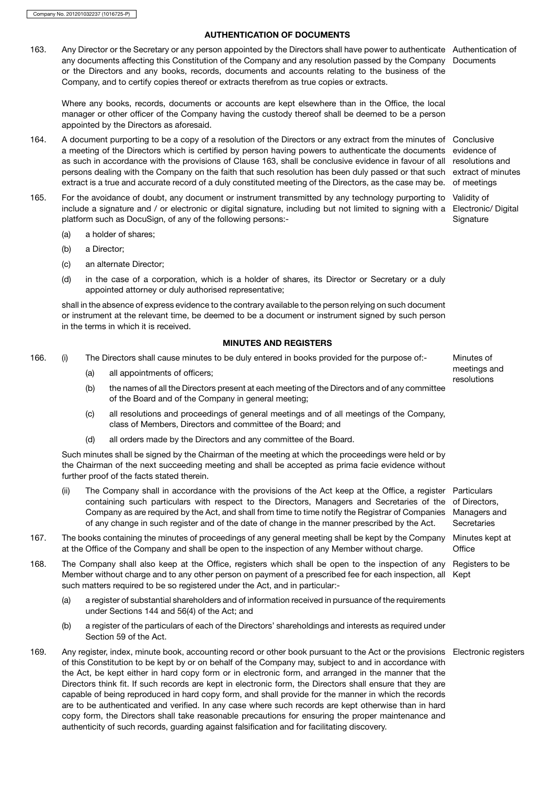# AUTHENTICATION OF DOCUMENTS

163. Any Director or the Secretary or any person appointed by the Directors shall have power to authenticate Authentication of any documents affecting this Constitution of the Company and any resolution passed by the Company or the Directors and any books, records, documents and accounts relating to the business of the Company, and to certify copies thereof or extracts therefrom as true copies or extracts.

Where any books, records, documents or accounts are kept elsewhere than in the Office, the local manager or other officer of the Company having the custody thereof shall be deemed to be a person appointed by the Directors as aforesaid.

- 164. A document purporting to be a copy of a resolution of the Directors or any extract from the minutes of Conclusive a meeting of the Directors which is certified by person having powers to authenticate the documents evidence of as such in accordance with the provisions of Clause 163, shall be conclusive evidence in favour of all resolutions and persons dealing with the Company on the faith that such resolution has been duly passed or that such extract is a true and accurate record of a duly constituted meeting of the Directors, as the case may be.
- 165. For the avoidance of doubt, any document or instrument transmitted by any technology purporting to Validity of include a signature and / or electronic or digital signature, including but not limited to signing with a platform such as DocuSign, of any of the following persons:-
	- (a) a holder of shares;
	- (b) a Director;
	- (c) an alternate Director;
	- (d) in the case of a corporation, which is a holder of shares, its Director or Secretary or a duly appointed attorney or duly authorised representative;

shall in the absence of express evidence to the contrary available to the person relying on such document or instrument at the relevant time, be deemed to be a document or instrument signed by such person in the terms in which it is received.

# MINUTES AND REGISTERS

- 166. (i) The Directors shall cause minutes to be duly entered in books provided for the purpose of:- Minutes of
	-
	- restings a) all appointments of officers;<br>resolutions<br>b) the names of all the Directors present at each meeting of the Directors and of any committee the names of all the Directors present at each meeting of the Directors and of any committee of the Board and of the Company in general meeting;
	- (c) all resolutions and proceedings of general meetings and of all meetings of the Company, class of Members, Directors and committee of the Board; and
	- (d) all orders made by the Directors and any committee of the Board.

Such minutes shall be signed by the Chairman of the meeting at which the proceedings were held or by the Chairman of the next succeeding meeting and shall be accepted as prima facie evidence without further proof of the facts stated therein.

- (ii) The Company shall in accordance with the provisions of the Act keep at the Office, a register Particulars containing such particulars with respect to the Directors, Managers and Secretaries of the Company as are required by the Act, and shall from time to time notify the Registrar of Companies of any change in such register and of the date of change in the manner prescribed by the Act. of Directors, Managers and **Secretaries**
- 167. The books containing the minutes of proceedings of any general meeting shall be kept by the Company Minutes kept at at the Office of the Company and shall be open to the inspection of any Member without charge. **Office**
- 168. The Company shall also keep at the Office, registers which shall be open to the inspection of any Member without charge and to any other person on payment of a prescribed fee for each inspection, all such matters required to be so registered under the Act, and in particular:- Registers to be Kept
	- (a) a register of substantial shareholders and of information received in pursuance of the requirements under Sections 144 and 56(4) of the Act; and
	- (b) a register of the particulars of each of the Directors' shareholdings and interests as required under Section 59 of the Act.
- 169. Any register, index, minute book, accounting record or other book pursuant to the Act or the provisions Electronic registersof this Constitution to be kept by or on behalf of the Company may, subject to and in accordance with the Act, be kept either in hard copy form or in electronic form, and arranged in the manner that the Directors think fit. If such records are kept in electronic form, the Directors shall ensure that they are capable of being reproduced in hard copy form, and shall provide for the manner in which the records are to be authenticated and verified. In any case where such records are kept otherwise than in hard copy form, the Directors shall take reasonable precautions for ensuring the proper maintenance and authenticity of such records, guarding against falsification and for facilitating discovery.

**Documents** 

extract of minutes of meetings Electronic/ Digital **Signature** 

meetings and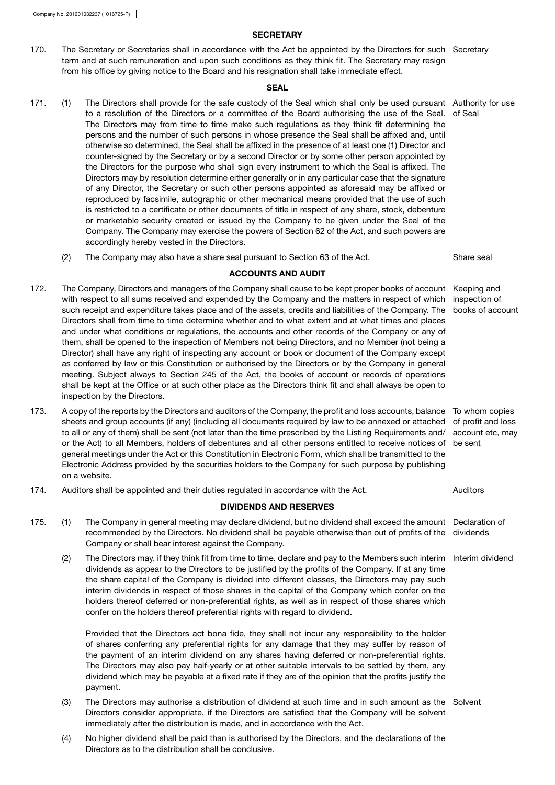# **SECRETARY**

170. The Secretary or Secretaries shall in accordance with the Act be appointed by the Directors for such Secretary term and at such remuneration and upon such conditions as they think fit. The Secretary may resign from his office by giving notice to the Board and his resignation shall take immediate effect.

# **SEAL**

- 171. (1) The Directors shall provide for the safe custody of the Seal which shall only be used pursuant Authority for use to a resolution of the Directors or a committee of the Board authorising the use of the Seal. of Seal The Directors may from time to time make such regulations as they think fit determining the persons and the number of such persons in whose presence the Seal shall be affixed and, until otherwise so determined, the Seal shall be affixed in the presence of at least one (1) Director and counter-signed by the Secretary or by a second Director or by some other person appointed by the Directors for the purpose who shall sign every instrument to which the Seal is affixed. The Directors may by resolution determine either generally or in any particular case that the signature of any Director, the Secretary or such other persons appointed as aforesaid may be affixed or reproduced by facsimile, autographic or other mechanical means provided that the use of such is restricted to a certificate or other documents of title in respect of any share, stock, debenture or marketable security created or issued by the Company to be given under the Seal of the Company. The Company may exercise the powers of Section 62 of the Act, and such powers are accordingly hereby vested in the Directors.
	- (2) The Company may also have a share seal pursuant to Section 63 of the Act. Share seal

# ACCOUNTS AND AUDIT

- 172. The Company, Directors and managers of the Company shall cause to be kept proper books of account Keeping and with respect to all sums received and expended by the Company and the matters in respect of which inspection of such receipt and expenditure takes place and of the assets, credits and liabilities of the Company. The books of account Directors shall from time to time determine whether and to what extent and at what times and places and under what conditions or regulations, the accounts and other records of the Company or any of them, shall be opened to the inspection of Members not being Directors, and no Member (not being a Director) shall have any right of inspecting any account or book or document of the Company except as conferred by law or this Constitution or authorised by the Directors or by the Company in general meeting. Subject always to Section 245 of the Act, the books of account or records of operations shall be kept at the Office or at such other place as the Directors think fit and shall always be open to inspection by the Directors.
- 173. A copy of the reports by the Directors and auditors of the Company, the profit and loss accounts, balance To whom copies sheets and group accounts (if any) (including all documents required by law to be annexed or attached of profit and loss to all or any of them) shall be sent (not later than the time prescribed by the Listing Requirements and/ account etc, may or the Act) to all Members, holders of debentures and all other persons entitled to receive notices of be sent general meetings under the Act or this Constitution in Electronic Form, which shall be transmitted to the Electronic Address provided by the securities holders to the Company for such purpose by publishing on a website.
- 174. Auditors shall be appointed and their duties regulated in accordance with the Act. Auditors

# DIVIDENDS AND RESERVES

- 175. (1) The Company in general meeting may declare dividend, but no dividend shall exceed the amount Declaration of recommended by the Directors. No dividend shall be payable otherwise than out of profits of the dividends Company or shall bear interest against the Company.
	- (2) The Directors may, if they think fit from time to time, declare and pay to the Members such interim Interim dividend dividends as appear to the Directors to be justified by the profits of the Company. If at any time the share capital of the Company is divided into different classes, the Directors may pay such interim dividends in respect of those shares in the capital of the Company which confer on the holders thereof deferred or non-preferential rights, as well as in respect of those shares which confer on the holders thereof preferential rights with regard to dividend.

Provided that the Directors act bona fide, they shall not incur any responsibility to the holder of shares conferring any preferential rights for any damage that they may suffer by reason of the payment of an interim dividend on any shares having deferred or non-preferential rights. The Directors may also pay half-yearly or at other suitable intervals to be settled by them, any dividend which may be payable at a fixed rate if they are of the opinion that the profits justify the payment.

- (3) The Directors may authorise a distribution of dividend at such time and in such amount as the Solvent Directors consider appropriate, if the Directors are satisfied that the Company will be solvent immediately after the distribution is made, and in accordance with the Act.
- (4) No higher dividend shall be paid than is authorised by the Directors, and the declarations of the Directors as to the distribution shall be conclusive.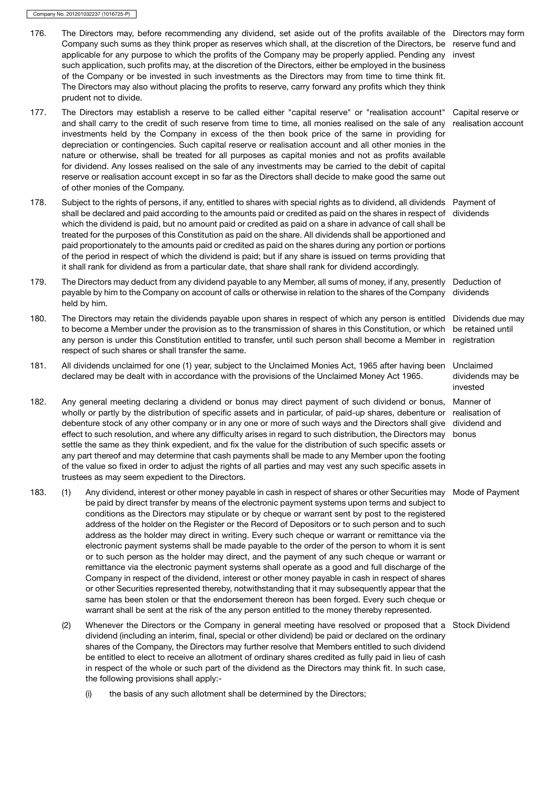- 176. The Directors may, before recommending any dividend, set aside out of the profits available of the Directors may form Company such sums as they think proper as reserves which shall, at the discretion of the Directors, be reserve fund and applicable for any purpose to which the profits of the Company may be properly applied. Pending any invest such application, such profits may, at the discretion of the Directors, either be employed in the business of the Company or be invested in such investments as the Directors may from time to time think fit. The Directors may also without placing the profits to reserve, carry forward any profits which they think prudent not to divide.
- 177. The Directors may establish a reserve to be called either "capital reserve" or "realisation account" and shall carry to the credit of such reserve from time to time, all monies realised on the sale of any investments held by the Company in excess of the then book price of the same in providing for depreciation or contingencies. Such capital reserve or realisation account and all other monies in the nature or otherwise, shall be treated for all purposes as capital monies and not as profits available for dividend. Any losses realised on the sale of any investments may be carried to the debit of capital reserve or realisation account except in so far as the Directors shall decide to make good the same out of other monies of the Company. Capital reserve or realisation account
- 178. Subject to the rights of persons, if any, entitled to shares with special rights as to dividend, all dividends Payment of shall be declared and paid according to the amounts paid or credited as paid on the shares in respect of which the dividend is paid, but no amount paid or credited as paid on a share in advance of call shall be treated for the purposes of this Constitution as paid on the share. All dividends shall be apportioned and paid proportionately to the amounts paid or credited as paid on the shares during any portion or portions of the period in respect of which the dividend is paid; but if any share is issued on terms providing that it shall rank for dividend as from a particular date, that share shall rank for dividend accordingly. dividends
- 179. The Directors may deduct from any dividend payable to any Member, all sums of money, if any, presently Deduction of payable by him to the Company on account of calls or otherwise in relation to the shares of the Company held by him. dividends

invested

- 180. The Directors may retain the dividends payable upon shares in respect of which any person is entitled Dividends due may to become a Member under the provision as to the transmission of shares in this Constitution, or which any person is under this Constitution entitled to transfer, until such person shall become a Member in respect of such shares or shall transfer the same. be retained until registration
- 181. All dividends unclaimed for one (1) year, subject to the Unclaimed Monies Act, 1965 after having been declared may be dealt with in accordance with the provisions of the Unclaimed Money Act 1965. Unclaimed dividends may be
- 182. Any general meeting declaring a dividend or bonus may direct payment of such dividend or bonus, wholly or partly by the distribution of specific assets and in particular, of paid-up shares, debenture or debenture stock of any other company or in any one or more of such ways and the Directors shall give effect to such resolution, and where any difficulty arises in regard to such distribution, the Directors may settle the same as they think expedient, and fix the value for the distribution of such specific assets or any part thereof and may determine that cash payments shall be made to any Member upon the footing of the value so fixed in order to adjust the rights of all parties and may vest any such specific assets in trustees as may seem expedient to the Directors. Manner of realisation of dividend and bonus
- 183. (1) Any dividend, interest or other money payable in cash in respect of shares or other Securities may Mode of Payment be paid by direct transfer by means of the electronic payment systems upon terms and subject to conditions as the Directors may stipulate or by cheque or warrant sent by post to the registered address of the holder on the Register or the Record of Depositors or to such person and to such address as the holder may direct in writing. Every such cheque or warrant or remittance via the electronic payment systems shall be made payable to the order of the person to whom it is sent or to such person as the holder may direct, and the payment of any such cheque or warrant or remittance via the electronic payment systems shall operate as a good and full discharge of the Company in respect of the dividend, interest or other money payable in cash in respect of shares or other Securities represented thereby, notwithstanding that it may subsequently appear that the same has been stolen or that the endorsement thereon has been forged. Every such cheque or warrant shall be sent at the risk of the any person entitled to the money thereby represented.
	- (2) Whenever the Directors or the Company in general meeting have resolved or proposed that a Stock Dividend dividend (including an interim, final, special or other dividend) be paid or declared on the ordinary shares of the Company, the Directors may further resolve that Members entitled to such dividend be entitled to elect to receive an allotment of ordinary shares credited as fully paid in lieu of cash in respect of the whole or such part of the dividend as the Directors may think fit. In such case, the following provisions shall apply:-
		- (i) the basis of any such allotment shall be determined by the Directors;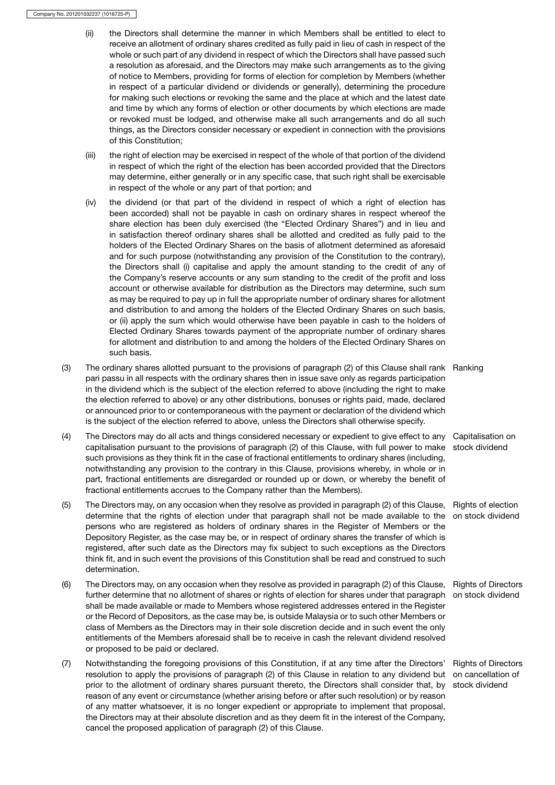- (ii) the Directors shall determine the manner in which Members shall be entitled to elect to receive an allotment of ordinary shares credited as fully paid in lieu of cash in respect of the whole or such part of any dividend in respect of which the Directors shall have passed such a resolution as aforesaid, and the Directors may make such arrangements as to the giving of notice to Members, providing for forms of election for completion by Members (whether in respect of a particular dividend or dividends or generally), determining the procedure for making such elections or revoking the same and the place at which and the latest date and time by which any forms of election or other documents by which elections are made or revoked must be lodged, and otherwise make all such arrangements and do all such things, as the Directors consider necessary or expedient in connection with the provisions of this Constitution;
- (iii) the right of election may be exercised in respect of the whole of that portion of the dividend in respect of which the right of the election has been accorded provided that the Directors may determine, either generally or in any specific case, that such right shall be exercisable in respect of the whole or any part of that portion; and
- (iv) the dividend (or that part of the dividend in respect of which a right of election has been accorded) shall not be payable in cash on ordinary shares in respect whereof the share election has been duly exercised (the "Elected Ordinary Shares") and in lieu and in satisfaction thereof ordinary shares shall be allotted and credited as fully paid to the holders of the Elected Ordinary Shares on the basis of allotment determined as aforesaid and for such purpose (notwithstanding any provision of the Constitution to the contrary), the Directors shall (i) capitalise and apply the amount standing to the credit of any of the Company's reserve accounts or any sum standing to the credit of the profit and loss account or otherwise available for distribution as the Directors may determine, such sum as may be required to pay up in full the appropriate number of ordinary shares for allotment and distribution to and among the holders of the Elected Ordinary Shares on such basis, or (ii) apply the sum which would otherwise have been payable in cash to the holders of Elected Ordinary Shares towards payment of the appropriate number of ordinary shares for allotment and distribution to and among the holders of the Elected Ordinary Shares on such basis.
- (3) The ordinary shares allotted pursuant to the provisions of paragraph (2) of this Clause shall rank Ranking pari passu in all respects with the ordinary shares then in issue save only as regards participation in the dividend which is the subject of the election referred to above (including the right to make the election referred to above) or any other distributions, bonuses or rights paid, made, declared or announced prior to or contemporaneous with the payment or declaration of the dividend which is the subject of the election referred to above, unless the Directors shall otherwise specify.
- (4) The Directors may do all acts and things considered necessary or expedient to give effect to any Capitalisation on capitalisation pursuant to the provisions of paragraph (2) of this Clause, with full power to make stock dividend such provisions as they think fit in the case of fractional entitlements to ordinary shares (including, notwithstanding any provision to the contrary in this Clause, provisions whereby, in whole or in part, fractional entitlements are disregarded or rounded up or down, or whereby the benefit of fractional entitlements accrues to the Company rather than the Members).
- (5) The Directors may, on any occasion when they resolve as provided in paragraph (2) of this Clause, Rights of election determine that the rights of election under that paragraph shall not be made available to the on stock dividend persons who are registered as holders of ordinary shares in the Register of Members or the Depository Register, as the case may be, or in respect of ordinary shares the transfer of which is registered, after such date as the Directors may fix subject to such exceptions as the Directors think fit, and in such event the provisions of this Constitution shall be read and construed to such determination.
- (6) The Directors may, on any occasion when they resolve as provided in paragraph (2) of this Clause, Rights of Directors further determine that no allotment of shares or rights of election for shares under that paragraph on stock dividend shall be made available or made to Members whose registered addresses entered in the Register or the Record of Depositors, as the case may be, is outside Malaysia or to such other Members or class of Members as the Directors may in their sole discretion decide and in such event the only entitlements of the Members aforesaid shall be to receive in cash the relevant dividend resolved or proposed to be paid or declared.
- (7) Notwithstanding the foregoing provisions of this Constitution, if at any time after the Directors' resolution to apply the provisions of paragraph (2) of this Clause in relation to any dividend but prior to the allotment of ordinary shares pursuant thereto, the Directors shall consider that, by stock dividendreason of any event or circumstance (whether arising before or after such resolution) or by reason of any matter whatsoever, it is no longer expedient or appropriate to implement that proposal, the Directors may at their absolute discretion and as they deem fit in the interest of the Company, cancel the proposed application of paragraph (2) of this Clause.

Rights of Directors on cancellation of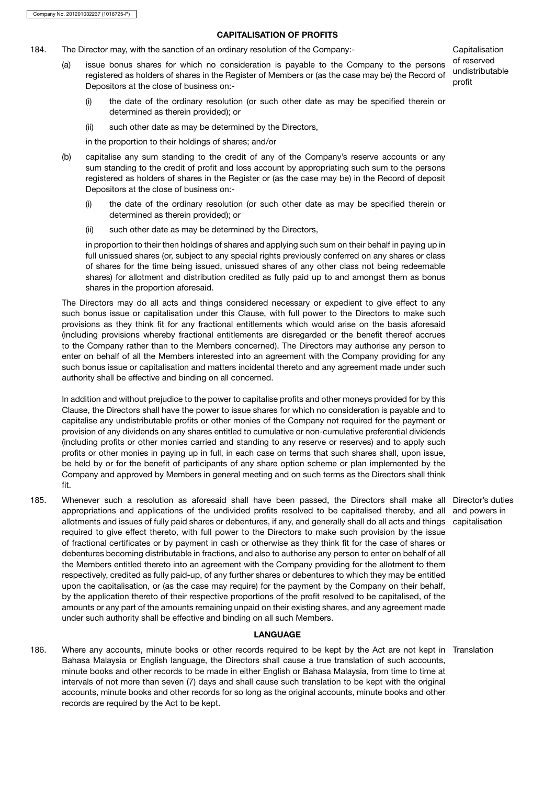# CAPITALISATION OF PROFITS

- 184. The Director may, with the sanction of an ordinary resolution of the Company:- Capitalisation
	- (a) issue bonus shares for which no consideration is payable to the Company to the persons registered as holders of shares in the Register of Members or (as the case may be) the Record of Depositors at the close of business on:-

of reserved undistributable profit

- (i) the date of the ordinary resolution (or such other date as may be specified therein or determined as therein provided); or
- (ii) such other date as may be determined by the Directors,

in the proportion to their holdings of shares; and/or

- (b) capitalise any sum standing to the credit of any of the Company's reserve accounts or any sum standing to the credit of profit and loss account by appropriating such sum to the persons registered as holders of shares in the Register or (as the case may be) in the Record of deposit Depositors at the close of business on:-
	- (i) the date of the ordinary resolution (or such other date as may be specified therein or determined as therein provided); or
	- (ii) such other date as may be determined by the Directors,

in proportion to their then holdings of shares and applying such sum on their behalf in paying up in full unissued shares (or, subject to any special rights previously conferred on any shares or class of shares for the time being issued, unissued shares of any other class not being redeemable shares) for allotment and distribution credited as fully paid up to and amongst them as bonus shares in the proportion aforesaid.

The Directors may do all acts and things considered necessary or expedient to give effect to any such bonus issue or capitalisation under this Clause, with full power to the Directors to make such provisions as they think fit for any fractional entitlements which would arise on the basis aforesaid (including provisions whereby fractional entitlements are disregarded or the benefit thereof accrues to the Company rather than to the Members concerned). The Directors may authorise any person to enter on behalf of all the Members interested into an agreement with the Company providing for any such bonus issue or capitalisation and matters incidental thereto and any agreement made under such authority shall be effective and binding on all concerned.

In addition and without prejudice to the power to capitalise profits and other moneys provided for by this Clause, the Directors shall have the power to issue shares for which no consideration is payable and to capitalise any undistributable profits or other monies of the Company not required for the payment or provision of any dividends on any shares entitled to cumulative or non-cumulative preferential dividends (including profits or other monies carried and standing to any reserve or reserves) and to apply such profits or other monies in paying up in full, in each case on terms that such shares shall, upon issue, be held by or for the benefit of participants of any share option scheme or plan implemented by the Company and approved by Members in general meeting and on such terms as the Directors shall think fit.

185. Whenever such a resolution as aforesaid shall have been passed, the Directors shall make all Director's duties appropriations and applications of the undivided profits resolved to be capitalised thereby, and all and powers in allotments and issues of fully paid shares or debentures, if any, and generally shall do all acts and things capitalisation required to give effect thereto, with full power to the Directors to make such provision by the issue of fractional certificates or by payment in cash or otherwise as they think fit for the case of shares or debentures becoming distributable in fractions, and also to authorise any person to enter on behalf of all the Members entitled thereto into an agreement with the Company providing for the allotment to them respectively, credited as fully paid-up, of any further shares or debentures to which they may be entitled upon the capitalisation, or (as the case may require) for the payment by the Company on their behalf, by the application thereto of their respective proportions of the profit resolved to be capitalised, of the amounts or any part of the amounts remaining unpaid on their existing shares, and any agreement made under such authority shall be effective and binding on all such Members.

#### LANGUAGE

186. Where any accounts, minute books or other records required to be kept by the Act are not kept in TranslationBahasa Malaysia or English language, the Directors shall cause a true translation of such accounts, minute books and other records to be made in either English or Bahasa Malaysia, from time to time at intervals of not more than seven (7) days and shall cause such translation to be kept with the original accounts, minute books and other records for so long as the original accounts, minute books and other records are required by the Act to be kept.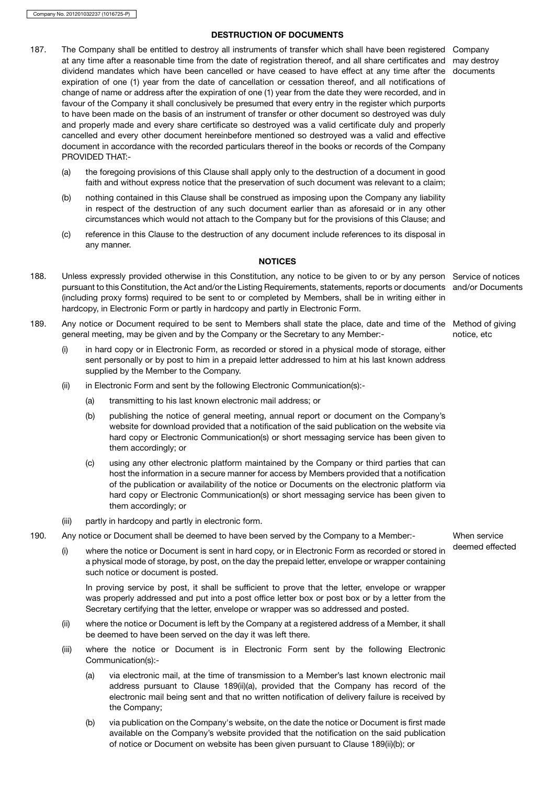# DESTRUCTION OF DOCUMENTS

- 187. The Company shall be entitled to destroy all instruments of transfer which shall have been registered Company at any time after a reasonable time from the date of registration thereof, and all share certificates and may destroy dividend mandates which have been cancelled or have ceased to have effect at any time after the documents expiration of one (1) year from the date of cancellation or cessation thereof, and all notifications of change of name or address after the expiration of one (1) year from the date they were recorded, and in favour of the Company it shall conclusively be presumed that every entry in the register which purports to have been made on the basis of an instrument of transfer or other document so destroyed was duly and properly made and every share certificate so destroyed was a valid certificate duly and properly cancelled and every other document hereinbefore mentioned so destroyed was a valid and effective document in accordance with the recorded particulars thereof in the books or records of the Company PROVIDED THAT:-
	- (a) the foregoing provisions of this Clause shall apply only to the destruction of a document in good faith and without express notice that the preservation of such document was relevant to a claim;
	- (b) nothing contained in this Clause shall be construed as imposing upon the Company any liability in respect of the destruction of any such document earlier than as aforesaid or in any other circumstances which would not attach to the Company but for the provisions of this Clause; and
	- (c) reference in this Clause to the destruction of any document include references to its disposal in any manner.

# **NOTICES**

- 188. Unless expressly provided otherwise in this Constitution, any notice to be given to or by any person Service of notices pursuant to this Constitution, the Act and/or the Listing Requirements, statements, reports or documents (including proxy forms) required to be sent to or completed by Members, shall be in writing either in hardcopy, in Electronic Form or partly in hardcopy and partly in Electronic Form.
- 189. Any notice or Document required to be sent to Members shall state the place, date and time of the Method of giving general meeting, may be given and by the Company or the Secretary to any Member:-
	- (i) in hard copy or in Electronic Form, as recorded or stored in a physical mode of storage, either sent personally or by post to him in a prepaid letter addressed to him at his last known address supplied by the Member to the Company.
	- (ii) in Electronic Form and sent by the following Electronic Communication(s):-
		- (a) transmitting to his last known electronic mail address; or
		- (b) publishing the notice of general meeting, annual report or document on the Company's website for download provided that a notification of the said publication on the website via hard copy or Electronic Communication(s) or short messaging service has been given to them accordingly; or
		- (c) using any other electronic platform maintained by the Company or third parties that can host the information in a secure manner for access by Members provided that a notification of the publication or availability of the notice or Documents on the electronic platform via hard copy or Electronic Communication(s) or short messaging service has been given to them accordingly; or
	- (iii) partly in hardcopy and partly in electronic form.
- 190. Any notice or Document shall be deemed to have been served by the Company to a Member:- When service
	- (i) where the notice or Document is sent in hard copy, or in Electronic Form as recorded or stored in deemed effected a physical mode of storage, by post, on the day the prepaid letter, envelope or wrapper containing such notice or document is posted.

In proving service by post, it shall be sufficient to prove that the letter, envelope or wrapper was properly addressed and put into a post office letter box or post box or by a letter from the Secretary certifying that the letter, envelope or wrapper was so addressed and posted.

- (ii) where the notice or Document is left by the Company at a registered address of a Member, it shall be deemed to have been served on the day it was left there.
- (iii) where the notice or Document is in Electronic Form sent by the following Electronic Communication(s):-
	- (a) via electronic mail, at the time of transmission to a Member's last known electronic mail address pursuant to Clause 189(ii)(a), provided that the Company has record of the electronic mail being sent and that no written notification of delivery failure is received by the Company;
	- (b) via publication on the Company's website, on the date the notice or Document is first made available on the Company's website provided that the notification on the said publication of notice or Document on website has been given pursuant to Clause 189(ii)(b); or

and/or Documents

notice, etc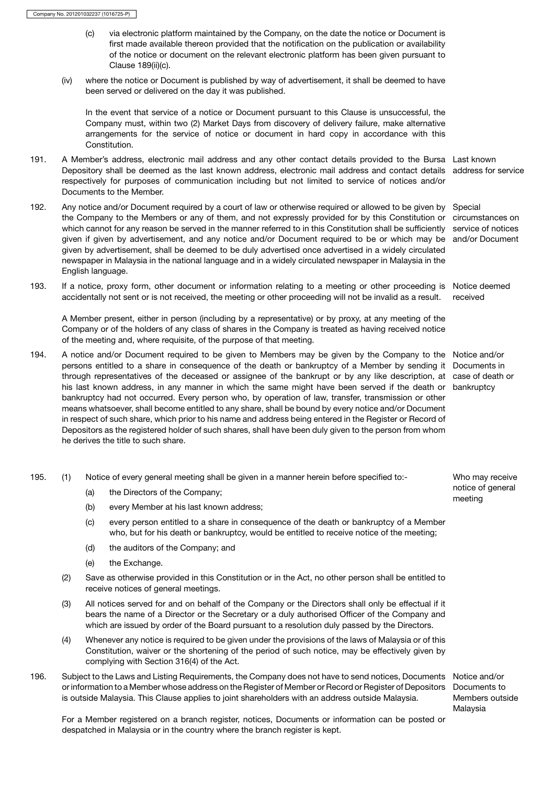- (c) via electronic platform maintained by the Company, on the date the notice or Document is first made available thereon provided that the notification on the publication or availability of the notice or document on the relevant electronic platform has been given pursuant to Clause 189(ii)(c).
- (iv) where the notice or Document is published by way of advertisement, it shall be deemed to have been served or delivered on the day it was published.

In the event that service of a notice or Document pursuant to this Clause is unsuccessful, the Company must, within two (2) Market Days from discovery of delivery failure, make alternative arrangements for the service of notice or document in hard copy in accordance with this Constitution.

- 191. A Member's address, electronic mail address and any other contact details provided to the Bursa Last known Depository shall be deemed as the last known address, electronic mail address and contact details address for service respectively for purposes of communication including but not limited to service of notices and/or Documents to the Member.
- 192. Any notice and/or Document required by a court of law or otherwise required or allowed to be given by Special the Company to the Members or any of them, and not expressly provided for by this Constitution or circumstances on which cannot for any reason be served in the manner referred to in this Constitution shall be sufficiently service of notices given if given by advertisement, and any notice and/or Document required to be or which may be and/or Document given by advertisement, shall be deemed to be duly advertised once advertised in a widely circulated newspaper in Malaysia in the national language and in a widely circulated newspaper in Malaysia in the English language.
- 193. If a notice, proxy form, other document or information relating to a meeting or other proceeding is Notice deemed accidentally not sent or is not received, the meeting or other proceeding will not be invalid as a result. received

A Member present, either in person (including by a representative) or by proxy, at any meeting of the Company or of the holders of any class of shares in the Company is treated as having received notice of the meeting and, where requisite, of the purpose of that meeting.

- 194. A notice and/or Document required to be given to Members may be given by the Company to the Notice and/or persons entitled to a share in consequence of the death or bankruptcy of a Member by sending it Documents in through representatives of the deceased or assignee of the bankrupt or by any like description, at case of death or his last known address, in any manner in which the same might have been served if the death or bankruptcy bankruptcy had not occurred. Every person who, by operation of law, transfer, transmission or other means whatsoever, shall become entitled to any share, shall be bound by every notice and/or Document in respect of such share, which prior to his name and address being entered in the Register or Record of Depositors as the registered holder of such shares, shall have been duly given to the person from whom he derives the title to such share.
- 195. (1) Notice of every general meeting shall be given in a manner herein before specified to:- Who may receive
	-
	- (a) the Directors of the Company;<br>
	(b) every Member at his last known address:<br>
	(b) every Member at his last known address: every Member at his last known address;
	- (c) every person entitled to a share in consequence of the death or bankruptcy of a Member who, but for his death or bankruptcy, would be entitled to receive notice of the meeting;
	- (d) the auditors of the Company; and
	- (e) the Exchange.
	- (2) Save as otherwise provided in this Constitution or in the Act, no other person shall be entitled to receive notices of general meetings.
	- (3) All notices served for and on behalf of the Company or the Directors shall only be effectual if it bears the name of a Director or the Secretary or a duly authorised Officer of the Company and which are issued by order of the Board pursuant to a resolution duly passed by the Directors.
	- (4) Whenever any notice is required to be given under the provisions of the laws of Malaysia or of this Constitution, waiver or the shortening of the period of such notice, may be effectively given by complying with Section 316(4) of the Act.
- 196. Subject to the Laws and Listing Requirements, the Company does not have to send notices, Documents Notice and/or or information to a Member whose address on the Register of Member or Record or Register of Depositors Documents to is outside Malaysia. This Clause applies to joint shareholders with an address outside Malaysia.

Members outside Malaysia

For a Member registered on a branch register, notices, Documents or information can be posted or despatched in Malaysia or in the country where the branch register is kept.

notice of general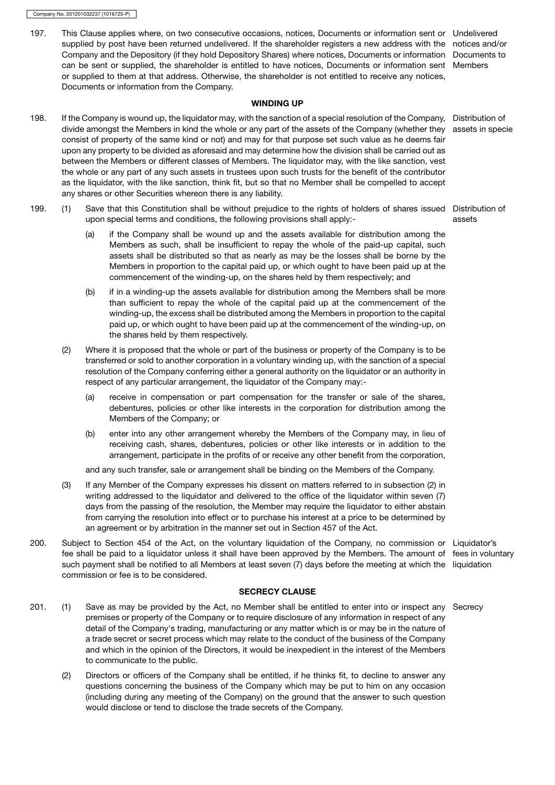197. This Clause applies where, on two consecutive occasions, notices, Documents or information sent or Undelivered supplied by post have been returned undelivered. If the shareholder registers a new address with the notices and/or Company and the Depository (if they hold Depository Shares) where notices, Documents or information Documents to can be sent or supplied, the shareholder is entitled to have notices, Documents or information sent Members or supplied to them at that address. Otherwise, the shareholder is not entitled to receive any notices, Documents or information from the Company.

#### WINDING UP

- 198. If the Company is wound up, the liquidator may, with the sanction of a special resolution of the Company, Distribution of divide amongst the Members in kind the whole or any part of the assets of the Company (whether they consist of property of the same kind or not) and may for that purpose set such value as he deems fair upon any property to be divided as aforesaid and may determine how the division shall be carried out as between the Members or different classes of Members. The liquidator may, with the like sanction, vest the whole or any part of any such assets in trustees upon such trusts for the benefit of the contributor as the liquidator, with the like sanction, think fit, but so that no Member shall be compelled to accept any shares or other Securities whereon there is any liability. assets in specie
- 199. (1) Save that this Constitution shall be without prejudice to the rights of holders of shares issued Distribution of upon special terms and conditions, the following provisions shall apply:-
	- (a) if the Company shall be wound up and the assets available for distribution among the Members as such, shall be insufficient to repay the whole of the paid-up capital, such assets shall be distributed so that as nearly as may be the losses shall be borne by the Members in proportion to the capital paid up, or which ought to have been paid up at the commencement of the winding-up, on the shares held by them respectively; and
	- (b) if in a winding-up the assets available for distribution among the Members shall be more than sufficient to repay the whole of the capital paid up at the commencement of the winding-up, the excess shall be distributed among the Members in proportion to the capital paid up, or which ought to have been paid up at the commencement of the winding-up, on the shares held by them respectively.
	- (2) Where it is proposed that the whole or part of the business or property of the Company is to be transferred or sold to another corporation in a voluntary winding up, with the sanction of a special resolution of the Company conferring either a general authority on the liquidator or an authority in respect of any particular arrangement, the liquidator of the Company may:-
		- (a) receive in compensation or part compensation for the transfer or sale of the shares, debentures, policies or other like interests in the corporation for distribution among the Members of the Company; or
		- (b) enter into any other arrangement whereby the Members of the Company may, in lieu of receiving cash, shares, debentures, policies or other like interests or in addition to the arrangement, participate in the profits of or receive any other benefit from the corporation,

and any such transfer, sale or arrangement shall be binding on the Members of the Company.

- (3) If any Member of the Company expresses his dissent on matters referred to in subsection (2) in writing addressed to the liquidator and delivered to the office of the liquidator within seven (7) days from the passing of the resolution, the Member may require the liquidator to either abstain from carrying the resolution into effect or to purchase his interest at a price to be determined by an agreement or by arbitration in the manner set out in Section 457 of the Act.
- 200. Subject to Section 454 of the Act, on the voluntary liquidation of the Company, no commission or Liquidator's fee shall be paid to a liquidator unless it shall have been approved by the Members. The amount of fees in voluntary such payment shall be notified to all Members at least seven (7) days before the meeting at which the liquidation commission or fee is to be considered.

# SECRECY CLAUSE

- 201. (1) Save as may be provided by the Act, no Member shall be entitled to enter into or inspect any Secrecy premises or property of the Company or to require disclosure of any information in respect of any detail of the Company's trading, manufacturing or any matter which is or may be in the nature of a trade secret or secret process which may relate to the conduct of the business of the Company and which in the opinion of the Directors, it would be inexpedient in the interest of the Members to communicate to the public.
	- (2) Directors or officers of the Company shall be entitled, if he thinks fit, to decline to answer any questions concerning the business of the Company which may be put to him on any occasion (including during any meeting of the Company) on the ground that the answer to such question would disclose or tend to disclose the trade secrets of the Company.

assets